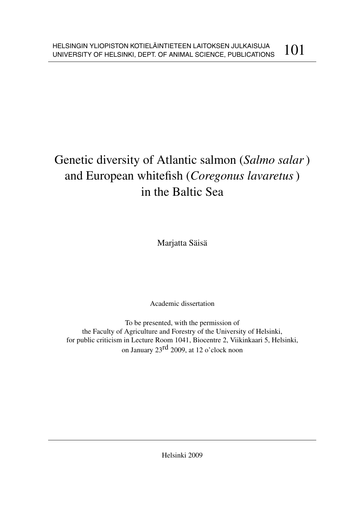# Genetic diversity of Atlantic salmon (*Salmo salar*) and European whitefish (*Coregonus lavaretus*) in the Baltic Sea

Marjatta Säisä

Academic dissertation

To be presented, with the permission of the Faculty of Agriculture and Forestry of the University of Helsinki, for public criticism in Lecture Room 1041, Biocentre 2, Viikinkaari 5, Helsinki, on January 23rd 2009, at 12 o'clock noon

Helsinki 2009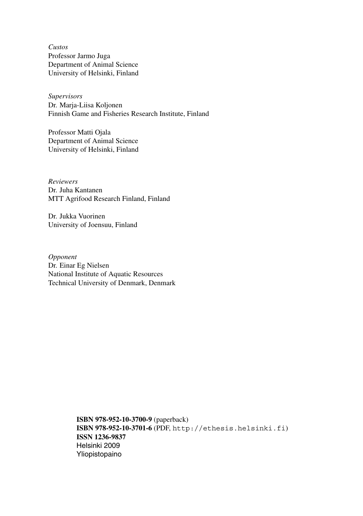*Custos* Professor Jarmo Juga Department of Animal Science University of Helsinki, Finland

*Supervisors* Dr. Marja-Liisa Koljonen Finnish Game and Fisheries Research Institute, Finland

Professor Matti Ojala Department of Animal Science University of Helsinki, Finland

*Reviewers* Dr. Juha Kantanen MTT Agrifood Research Finland, Finland

Dr. Jukka Vuorinen University of Joensuu, Finland

*Opponent* Dr. Einar Eg Nielsen National Institute of Aquatic Resources Technical University of Denmark, Denmark

> **ISBN 978-952-10-3700-9** (paperback) **ISBN 978-952-10-3701-6** (PDF, http://ethesis.helsinki.fi) **ISSN 1236-9837** Helsinki 2009 Yliopistopaino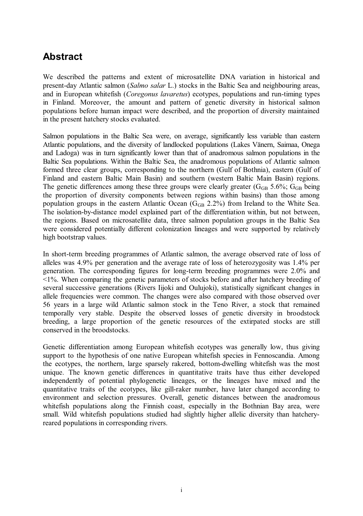## **Abstract**

We described the patterns and extent of microsatellite DNA variation in historical and present-day Atlantic salmon (*Salmo salar* L.) stocks in the Baltic Sea and neighbouring areas, and in European whitefish (*Coregonus lavaretus*) ecotypes, populations and run-timing types in Finland. Moreover, the amount and pattern of genetic diversity in historical salmon populations before human impact were described, and the proportion of diversity maintained in the present hatchery stocks evaluated.

Salmon populations in the Baltic Sea were, on average, significantly less variable than eastern Atlantic populations, and the diversity of landlocked populations (Lakes Vänern, Saimaa, Onega and Ladoga) was in turn significantly lower than that of anadromous salmon populations in the Baltic Sea populations. Within the Baltic Sea, the anadromous populations of Atlantic salmon formed three clear groups, corresponding to the northern (Gulf of Bothnia), eastern (Gulf of Finland and eastern Baltic Main Basin) and southern (western Baltic Main Basin) regions. The genetic differences among these three groups were clearly greater  $(G_{GB} 5.6\%; G_{GB} 6.6\%; G_{GB} 6.6\%; G_{GB} 6.6\%; G_{GB} 6.6\%; G_{GB} 6.6\%; G_{GB} 6.6\%; G_{GB} 6.6\%; G_{GB} 6.6\%; G_{GB} 6.6\%; G_{GB} 6.6\%; G_{GB} 6.6\%; G_{GB} 6.6\%; G_{GB} 6.6\%; G_{GB} 6.6\%;$ the proportion of diversity components between regions within basins) than those among population groups in the eastern Atlantic Ocean (GGB 2.2%) from Ireland to the White Sea. The isolation-by-distance model explained part of the differentiation within, but not between, the regions. Based on microsatellite data, three salmon population groups in the Baltic Sea were considered potentially different colonization lineages and were supported by relatively high bootstrap values.

In short-term breeding programmes of Atlantic salmon, the average observed rate of loss of alleles was 4.9% per generation and the average rate of loss of heterozygosity was 1.4% per generation. The corresponding figures for long-term breeding programmes were 2.0% and <1%. When comparing the genetic parameters of stocks before and after hatchery breeding of several successive generations (Rivers Iijoki and Oulujoki), statistically significant changes in allele frequencies were common. The changes were also compared with those observed over 56 years in a large wild Atlantic salmon stock in the Teno River, a stock that remained temporally very stable. Despite the observed losses of genetic diversity in broodstock breeding, a large proportion of the genetic resources of the extirpated stocks are still conserved in the broodstocks.

Genetic differentiation among European whitefish ecotypes was generally low, thus giving support to the hypothesis of one native European whitefish species in Fennoscandia. Among the ecotypes, the northern, large sparsely rakered, bottom-dwelling whitefish was the most unique. The known genetic differences in quantitative traits have thus either developed independently of potential phylogenetic lineages, or the lineages have mixed and the quantitative traits of the ecotypes, like gill-raker number, have later changed according to environment and selection pressures. Overall, genetic distances between the anadromous whitefish populations along the Finnish coast, especially in the Bothnian Bay area, were small. Wild whitefish populations studied had slightly higher allelic diversity than hatcheryreared populations in corresponding rivers.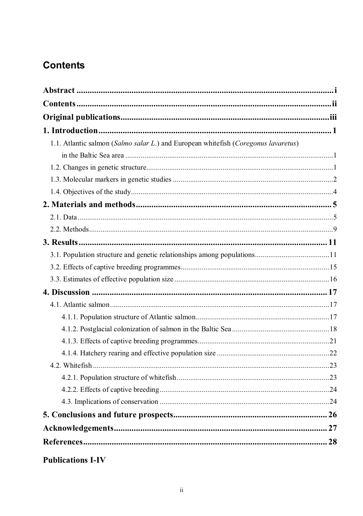## **Contents**

| 1.1. Atlantic salmon (Salmo salar L.) and European whitefish (Coregonus lavaretus) |  |
|------------------------------------------------------------------------------------|--|
|                                                                                    |  |
|                                                                                    |  |
|                                                                                    |  |
|                                                                                    |  |
|                                                                                    |  |
|                                                                                    |  |
|                                                                                    |  |
|                                                                                    |  |
|                                                                                    |  |
|                                                                                    |  |
|                                                                                    |  |
|                                                                                    |  |
|                                                                                    |  |
|                                                                                    |  |
|                                                                                    |  |
|                                                                                    |  |
|                                                                                    |  |
|                                                                                    |  |
|                                                                                    |  |
|                                                                                    |  |
|                                                                                    |  |
|                                                                                    |  |
|                                                                                    |  |
|                                                                                    |  |
|                                                                                    |  |
| <b>Publications I-IV</b>                                                           |  |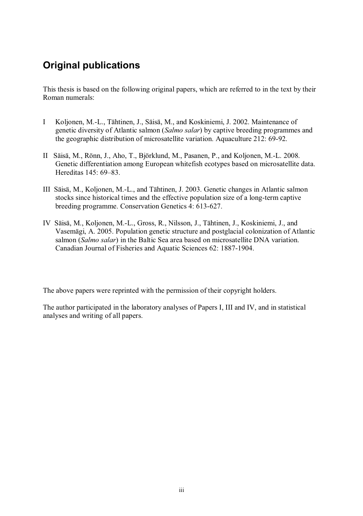## **Original publications**

This thesis is based on the following original papers, which are referred to in the text by their Roman numerals:

- I Koljonen, M.-L., Tähtinen, J., Säisä, M., and Koskiniemi, J. 2002. Maintenance of genetic diversity of Atlantic salmon (*Salmo salar*) by captive breeding programmes and the geographic distribution of microsatellite variation. Aquaculture 212: 69-92.
- II Säisä, M., Rönn, J., Aho, T., Björklund, M., Pasanen, P., and Koljonen, M.-L. 2008. Genetic differentiation among European whitefish ecotypes based on microsatellite data. Hereditas 145: 69–83.
- III Säisä, M., Koljonen, M.-L., and Tähtinen, J. 2003. Genetic changes in Atlantic salmon stocks since historical times and the effective population size of a long-term captive breeding programme. Conservation Genetics 4: 613-627.
- IV Säisä, M., Koljonen, M.-L., Gross, R., Nilsson, J., Tähtinen, J., Koskiniemi, J., and Vasemägi, A. 2005. Population genetic structure and postglacial colonization of Atlantic salmon (*Salmo salar*) in the Baltic Sea area based on microsatellite DNA variation. Canadian Journal of Fisheries and Aquatic Sciences 62: 1887-1904.

The above papers were reprinted with the permission of their copyright holders.

The author participated in the laboratory analyses of Papers I, III and IV, and in statistical analyses and writing of all papers.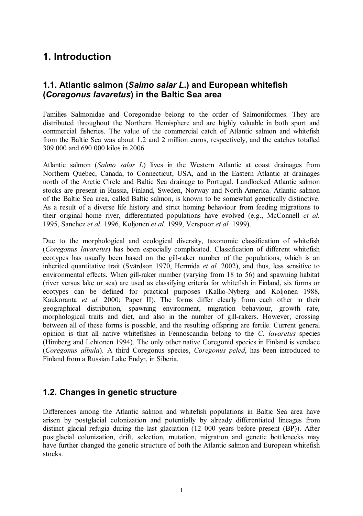## **1. Introduction**

### **1.1. Atlantic salmon (***Salmo salar L***.) and European whitefish (***Coregonus lavaretus***) in the Baltic Sea area**

Families Salmonidae and Coregonidae belong to the order of Salmoniformes. They are distributed throughout the Northern Hemisphere and are highly valuable in both sport and commercial fisheries. The value of the commercial catch of Atlantic salmon and whitefish from the Baltic Sea was about 1.2 and 2 million euros, respectively, and the catches totalled 309 000 and 690 000 kilos in 2006.

Atlantic salmon (*Salmo salar L*) lives in the Western Atlantic at coast drainages from Northern Quebec, Canada, to Connecticut, USA, and in the Eastern Atlantic at drainages north of the Arctic Circle and Baltic Sea drainage to Portugal. Landlocked Atlantic salmon stocks are present in Russia, Finland, Sweden, Norway and North America. Atlantic salmon of the Baltic Sea area, called Baltic salmon, is known to be somewhat genetically distinctive. As a result of a diverse life history and strict homing behaviour from feeding migrations to their original home river, differentiated populations have evolved (e.g., McConnell *et al.* 1995, Sanchez *et al.* 1996, Koljonen *et al.* 1999, Verspoor *et al.* 1999).

Due to the morphological and ecological diversity, taxonomic classification of whitefish (*Coregonus lavaretus*) has been especially complicated. Classification of different whitefish ecotypes has usually been based on the gill-raker number of the populations, which is an inherited quantitative trait (Svärdson 1970, Hermida *et al.* 2002), and thus, less sensitive to environmental effects. When gill-raker number (varying from 18 to 56) and spawning habitat (river versus lake or sea) are used as classifying criteria for whitefish in Finland, six forms or ecotypes can be defined for practical purposes (Kallio-Nyberg and Koljonen 1988, Kaukoranta *et al.* 2000; Paper II). The forms differ clearly from each other in their geographical distribution, spawning environment, migration behaviour, growth rate, morphological traits and diet, and also in the number of gill-rakers. However, crossing between all of these forms is possible, and the resulting offspring are fertile. Current general opinion is that all native whitefishes in Fennoscandia belong to the *C. lavaretus* species (Himberg and Lehtonen 1994). The only other native Coregonid species in Finland is vendace (*Coregonus albula*). A third Coregonus species, *Coregonus peled*, has been introduced to Finland from a Russian Lake Endyr, in Siberia.

### **1.2. Changes in genetic structure**

Differences among the Atlantic salmon and whitefish populations in Baltic Sea area have arisen by postglacial colonization and potentially by already differentiated lineages from distinct glacial refugia during the last glaciation (12 000 years before present (BP)). After postglacial colonization, drift, selection, mutation, migration and genetic bottlenecks may have further changed the genetic structure of both the Atlantic salmon and European whitefish stocks.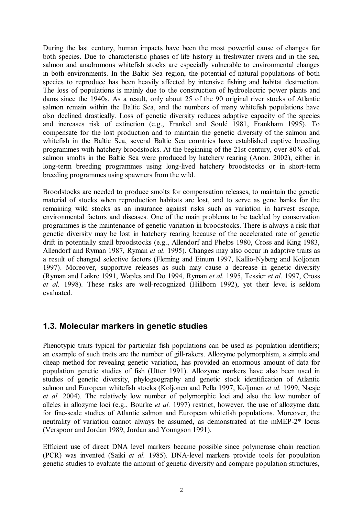During the last century, human impacts have been the most powerful cause of changes for both species. Due to characteristic phases of life history in freshwater rivers and in the sea, salmon and anadromous whitefish stocks are especially vulnerable to environmental changes in both environments. In the Baltic Sea region, the potential of natural populations of both species to reproduce has been heavily affected by intensive fishing and habitat destruction. The loss of populations is mainly due to the construction of hydroelectric power plants and dams since the 1940s. As a result, only about 25 of the 90 original river stocks of Atlantic salmon remain within the Baltic Sea, and the numbers of many whitefish populations have also declined drastically. Loss of genetic diversity reduces adaptive capacity of the species and increases risk of extinction (e.g., Frankel and Soulé 1981, Frankham 1995). To compensate for the lost production and to maintain the genetic diversity of the salmon and whitefish in the Baltic Sea, several Baltic Sea countries have established captive breeding programmes with hatchery broodstocks. At the beginning of the 21st century, over 80% of all salmon smolts in the Baltic Sea were produced by hatchery rearing (Anon. 2002), either in long-term breeding programmes using long-lived hatchery broodstocks or in short-term breeding programmes using spawners from the wild.

Broodstocks are needed to produce smolts for compensation releases, to maintain the genetic material of stocks when reproduction habitats are lost, and to serve as gene banks for the remaining wild stocks as an insurance against risks such as variation in harvest escape, environmental factors and diseases. One of the main problems to be tackled by conservation programmes is the maintenance of genetic variation in broodstocks. There is always a risk that genetic diversity may be lost in hatchery rearing because of the accelerated rate of genetic drift in potentially small broodstocks (e.g., Allendorf and Phelps 1980, Cross and King 1983, Allendorf and Ryman 1987, Ryman *et al.* 1995). Changes may also occur in adaptive traits as a result of changed selective factors (Fleming and Einum 1997, Kallio-Nyberg and Koljonen 1997). Moreover, supportive releases as such may cause a decrease in genetic diversity (Ryman and Laikre 1991, Waples and Do 1994, Ryman *et al.* 1995, Tessier *et al.* 1997, Cross *et al.* 1998). These risks are well-recognized (Hillborn 1992), yet their level is seldom evaluated.

#### **1.3. Molecular markers in genetic studies**

Phenotypic traits typical for particular fish populations can be used as population identifiers; an example of such traits are the number of gill-rakers. Allozyme polymorphism, a simple and cheap method for revealing genetic variation, has provided an enormous amount of data for population genetic studies of fish (Utter 1991). Allozyme markers have also been used in studies of genetic diversity, phylogeography and genetic stock identification of Atlantic salmon and European whitefish stocks (Koljonen and Pella 1997, Koljonen *et al.* 1999, Næsje *et al.* 2004). The relatively low number of polymorphic loci and also the low number of alleles in allozyme loci (e.g., Bourke *et al.* 1997) restrict, however, the use of allozyme data for fine-scale studies of Atlantic salmon and European whitefish populations. Moreover, the neutrality of variation cannot always be assumed, as demonstrated at the mMEP-2\* locus (Verspoor and Jordan 1989, Jordan and Youngson 1991).

Efficient use of direct DNA level markers became possible since polymerase chain reaction (PCR) was invented (Saiki *et al.* 1985). DNA-level markers provide tools for population genetic studies to evaluate the amount of genetic diversity and compare population structures,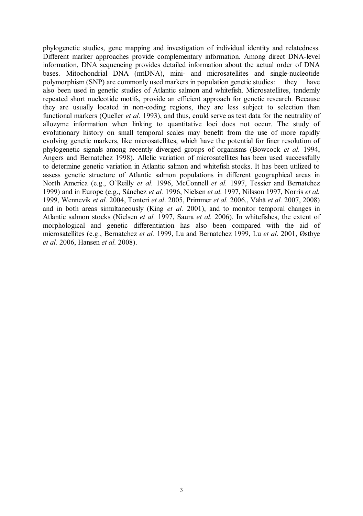phylogenetic studies, gene mapping and investigation of individual identity and relatedness. Different marker approaches provide complementary information. Among direct DNA-level information, DNA sequencing provides detailed information about the actual order of DNA bases. Mitochondrial DNA (mtDNA), mini- and microsatellites and single-nucleotide polymorphism (SNP) are commonly used markers in population genetic studies: they have also been used in genetic studies of Atlantic salmon and whitefish. Microsatellites, tandemly repeated short nucleotide motifs, provide an efficient approach for genetic research. Because they are usually located in non-coding regions, they are less subject to selection than functional markers (Queller *et al.* 1993), and thus, could serve as test data for the neutrality of allozyme information when linking to quantitative loci does not occur. The study of evolutionary history on small temporal scales may benefit from the use of more rapidly evolving genetic markers, like microsatellites, which have the potential for finer resolution of phylogenetic signals among recently diverged groups of organisms (Bowcock *et al.* 1994, Angers and Bernatchez 1998). Allelic variation of microsatellites has been used successfully to determine genetic variation in Atlantic salmon and whitefish stocks. It has been utilized to assess genetic structure of Atlantic salmon populations in different geographical areas in North America (e.g., O'Reilly *et al.* 1996, McConnell *et al.* 1997, Tessier and Bernatchez 1999) and in Europe (e.g., Sánchez *et al.* 1996, Nielsen *et al.* 1997, Nilsson 1997, Norris *et al.* 1999, Wennevik *et al.* 2004, Tonteri *et al*. 2005, Primmer *et al.* 2006., Vähä *et al.* 2007, 2008) and in both areas simultaneously (King *et al.* 2001), and to monitor temporal changes in Atlantic salmon stocks (Nielsen *et al.* 1997, Saura *et al.* 2006). In whitefishes, the extent of morphological and genetic differentiation has also been compared with the aid of microsatellites (e.g., Bernatchez *et al.* 1999, Lu and Bernatchez 1999, Lu *et al*. 2001, Østbye *et al.* 2006, Hansen *et al.* 2008).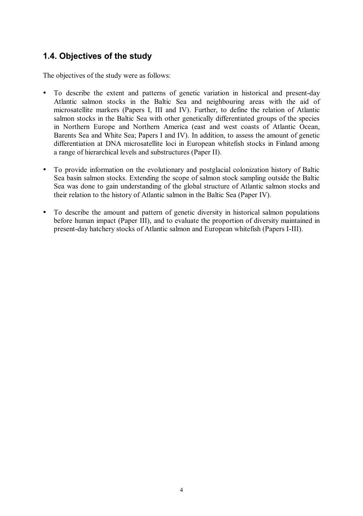### **1.4. Objectives of the study**

The objectives of the study were as follows:

- To describe the extent and patterns of genetic variation in historical and present-day Atlantic salmon stocks in the Baltic Sea and neighbouring areas with the aid of microsatellite markers (Papers I, III and IV). Further, to define the relation of Atlantic salmon stocks in the Baltic Sea with other genetically differentiated groups of the species in Northern Europe and Northern America (east and west coasts of Atlantic Ocean, Barents Sea and White Sea; Papers I and IV). In addition, to assess the amount of genetic differentiation at DNA microsatellite loci in European whitefish stocks in Finland among a range of hierarchical levels and substructures (Paper II).
- To provide information on the evolutionary and postglacial colonization history of Baltic Sea basin salmon stocks. Extending the scope of salmon stock sampling outside the Baltic Sea was done to gain understanding of the global structure of Atlantic salmon stocks and their relation to the history of Atlantic salmon in the Baltic Sea (Paper IV).
- To describe the amount and pattern of genetic diversity in historical salmon populations before human impact (Paper III), and to evaluate the proportion of diversity maintained in present-day hatchery stocks of Atlantic salmon and European whitefish (Papers I-III).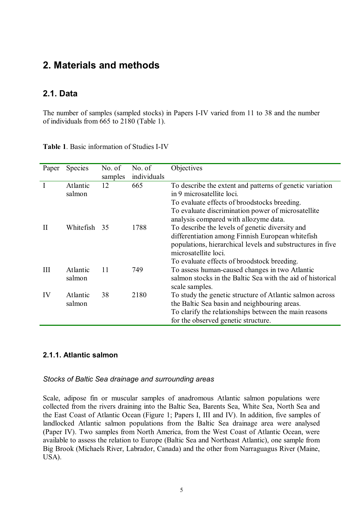## **2. Materials and methods**

#### **2.1. Data**

The number of samples (sampled stocks) in Papers I-IV varied from 11 to 38 and the number of individuals from 665 to 2180 (Table 1).

| Paper | <b>Species</b> | No. of  | No. of      | Objectives                                                 |
|-------|----------------|---------|-------------|------------------------------------------------------------|
|       |                | samples | individuals |                                                            |
|       | Atlantic       | 12      | 665         | To describe the extent and patterns of genetic variation   |
|       | salmon         |         |             | in 9 microsatellite loci.                                  |
|       |                |         |             | To evaluate effects of broodstocks breeding.               |
|       |                |         |             | To evaluate discrimination power of microsatellite         |
|       |                |         |             | analysis compared with allozyme data.                      |
| Н     | Whitefish      | 35      | 1788        | To describe the levels of genetic diversity and            |
|       |                |         |             | differentiation among Finnish European whitefish           |
|       |                |         |             | populations, hierarchical levels and substructures in five |
|       |                |         |             | microsatellite loci.                                       |
|       |                |         |             | To evaluate effects of broodstock breeding.                |
| Ш     | Atlantic       | 11      | 749         | To assess human-caused changes in two Atlantic             |
|       | salmon         |         |             | salmon stocks in the Baltic Sea with the aid of historical |
|       |                |         |             | scale samples.                                             |
| IV    | Atlantic       | 38      | 2180        | To study the genetic structure of Atlantic salmon across   |
|       | salmon         |         |             | the Baltic Sea basin and neighbouring areas.               |
|       |                |         |             | To clarify the relationships between the main reasons      |
|       |                |         |             | for the observed genetic structure.                        |

|  |  | Table 1. Basic information of Studies I-IV |
|--|--|--------------------------------------------|
|--|--|--------------------------------------------|

#### **2.1.1. Atlantic salmon**

#### *Stocks of Baltic Sea drainage and surrounding areas*

Scale, adipose fin or muscular samples of anadromous Atlantic salmon populations were collected from the rivers draining into the Baltic Sea, Barents Sea, White Sea, North Sea and the East Coast of Atlantic Ocean (Figure 1; Papers I, III and IV). In addition, five samples of landlocked Atlantic salmon populations from the Baltic Sea drainage area were analysed (Paper IV). Two samples from North America, from the West Coast of Atlantic Ocean, were available to assess the relation to Europe (Baltic Sea and Northeast Atlantic), one sample from Big Brook (Michaels River, Labrador, Canada) and the other from Narraguagus River (Maine, USA).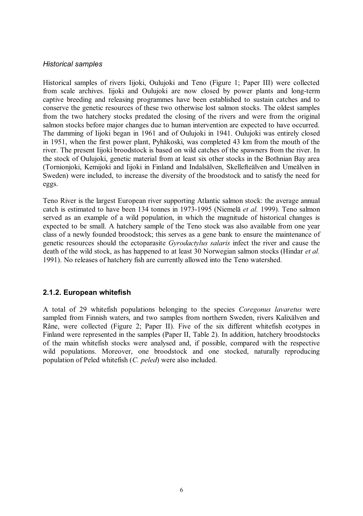#### *Historical samples*

Historical samples of rivers Iijoki, Oulujoki and Teno (Figure 1; Paper III) were collected from scale archives. Iijoki and Oulujoki are now closed by power plants and long-term captive breeding and releasing programmes have been established to sustain catches and to conserve the genetic resources of these two otherwise lost salmon stocks. The oldest samples from the two hatchery stocks predated the closing of the rivers and were from the original salmon stocks before major changes due to human intervention are expected to have occurred. The damming of Iijoki began in 1961 and of Oulujoki in 1941. Oulujoki was entirely closed in 1951, when the first power plant, Pyhäkoski, was completed 43 km from the mouth of the river. The present Iijoki broodstock is based on wild catches of the spawners from the river. In the stock of Oulujoki, genetic material from at least six other stocks in the Bothnian Bay area (Tornionjoki, Kemijoki and Iijoki in Finland and Indalsälven, Skellefteälven and Umeälven in Sweden) were included, to increase the diversity of the broodstock and to satisfy the need for eggs.

Teno River is the largest European river supporting Atlantic salmon stock: the average annual catch is estimated to have been 134 tonnes in 1973-1995 (Niemelä *et al.* 1999). Teno salmon served as an example of a wild population, in which the magnitude of historical changes is expected to be small. A hatchery sample of the Teno stock was also available from one year class of a newly founded broodstock; this serves as a gene bank to ensure the maintenance of genetic resources should the ectoparasite *Gyrodactylus salaris* infect the river and cause the death of the wild stock, as has happened to at least 30 Norwegian salmon stocks (Hindar *et al.* 1991). No releases of hatchery fish are currently allowed into the Teno watershed.

#### **2.1.2. European whitefish**

A total of 29 whitefish populations belonging to the species *Coregonus lavaretus* were sampled from Finnish waters, and two samples from northern Sweden, rivers Kalixälven and Råne, were collected (Figure 2; Paper II). Five of the six different whitefish ecotypes in Finland were represented in the samples (Paper II, Table 2). In addition, hatchery broodstocks of the main whitefish stocks were analysed and, if possible, compared with the respective wild populations. Moreover, one broodstock and one stocked, naturally reproducing population of Peled whitefish (*C. peled*) were also included.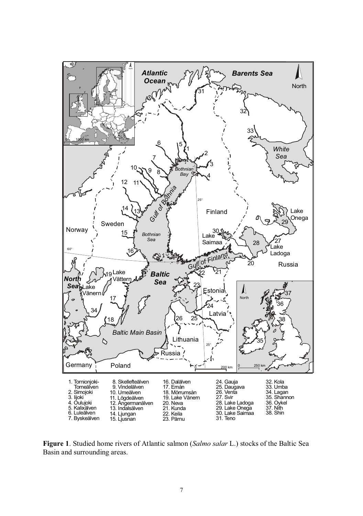

**Figure 1**. Studied home rivers of Atlantic salmon (*Salmo salar* L.) stocks of the Baltic Sea Basin and surrounding areas.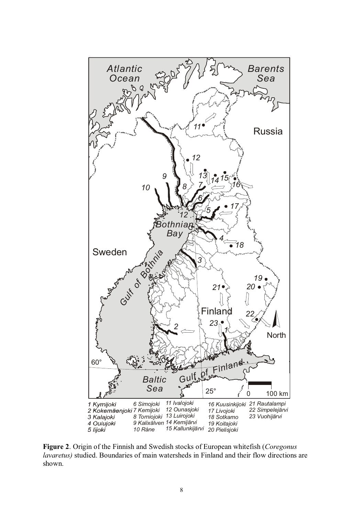

**Figure 2**. Origin of the Finnish and Swedish stocks of European whitefish (*Coregonus lavaretus)* studied. Boundaries of main watersheds in Finland and their flow directions are shown.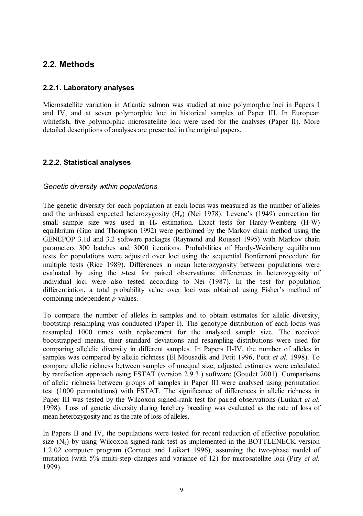### **2.2. Methods**

#### **2.2.1. Laboratory analyses**

Microsatellite variation in Atlantic salmon was studied at nine polymorphic loci in Papers I and IV, and at seven polymorphic loci in historical samples of Paper III. In European whitefish, five polymorphic microsatellite loci were used for the analyses (Paper II). More detailed descriptions of analyses are presented in the original papers.

#### **2.2.2. Statistical analyses**

#### *Genetic diversity within populations*

The genetic diversity for each population at each locus was measured as the number of alleles and the unbiased expected heterozygosity  $(H_e)$  (Nei 1978). Levene's (1949) correction for small sample size was used in  $H<sub>e</sub>$  estimation. Exact tests for Hardy-Weinberg  $(H-W)$ equilibrium (Guo and Thompson 1992) were performed by the Markov chain method using the GENEPOP 3.1d and 3.2 software packages (Raymond and Rousset 1995) with Markov chain parameters 300 batches and 3000 iterations. Probabilities of Hardy-Weinberg equilibrium tests for populations were adjusted over loci using the sequential Bonferroni procedure for multiple tests (Rice 1989). Differences in mean heterozygosity between populations were evaluated by using the *t*-test for paired observations; differences in heterozygosity of individual loci were also tested according to Nei (1987). In the test for population differentiation, a total probability value over loci was obtained using Fisher's method of combining independent *p*-values.

To compare the number of alleles in samples and to obtain estimates for allelic diversity, bootstrap resampling was conducted (Paper I). The genotype distribution of each locus was resampled 1000 times with replacement for the analysed sample size. The received bootstrapped means, their standard deviations and resampling distributions were used for comparing allelelic diversity in different samples. In Papers II-IV, the number of alleles in samples was compared by allelic richness (El Mousadik and Petit 1996, Petit *et al.* 1998). To compare allelic richness between samples of unequal size, adjusted estimates were calculated by rarefaction approach using FSTAT (version 2.9.3.) software (Goudet 2001). Comparisons of allelic richness between groups of samples in Paper III were analysed using permutation test (1000 permutations) with FSTAT. The significance of differences in allelic richness in Paper III was tested by the Wilcoxon signed-rank test for paired observations (Luikart *et al.* 1998). Loss of genetic diversity during hatchery breeding was evaluated as the rate of loss of mean heterozygosity and as the rate of loss of alleles.

In Papers II and IV, the populations were tested for recent reduction of effective population size  $(N_e)$  by using Wilcoxon signed-rank test as implemented in the BOTTLENECK version 1.2.02 computer program (Cornuet and Luikart 1996), assuming the two-phase model of mutation (with 5% multi-step changes and variance of 12) for microsatellite loci (Piry *et al.* 1999).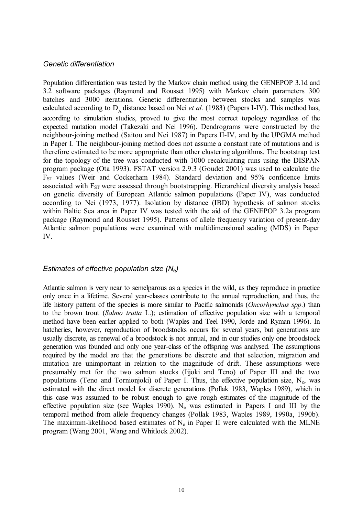#### *Genetic differentiation*

Population differentiation was tested by the Markov chain method using the GENEPOP 3.1d and 3.2 software packages (Raymond and Rousset 1995) with Markov chain parameters 300 batches and 3000 iterations. Genetic differentiation between stocks and samples was calculated according to  $D_{\lambda}$  distance based on Nei *et al.* (1983) (Papers I-IV). This method has, according to simulation studies, proved to give the most correct topology regardless of the expected mutation model (Takezaki and Nei 1996). Dendrograms were constructed by the neighbour-joining method (Saitou and Nei 1987) in Papers II-IV, and by the UPGMA method in Paper I. The neighbour-joining method does not assume a constant rate of mutations and is therefore estimated to be more appropriate than other clustering algorithms. The bootstrap test for the topology of the tree was conducted with 1000 recalculating runs using the DISPAN program package (Ota 1993). FSTAT version 2.9.3 (Goudet 2001) was used to calculate the FST values (Weir and Cockerham 1984). Standard deviation and 95% confidence limits associated with F<sub>ST</sub> were assessed through bootstrapping. Hierarchical diversity analysis based on genetic diversity of European Atlantic salmon populations (Paper IV), was conducted according to Nei (1973, 1977). Isolation by distance (IBD) hypothesis of salmon stocks within Baltic Sea area in Paper IV was tested with the aid of the GENEPOP 3.2a program package (Raymond and Rousset 1995). Patterns of allele frequency variation of present-day Atlantic salmon populations were examined with multidimensional scaling (MDS) in Paper IV.

#### *Estimates of effective population size (Ne)*

Atlantic salmon is very near to semelparous as a species in the wild, as they reproduce in practice only once in a lifetime. Several year-classes contribute to the annual reproduction, and thus, the life history pattern of the species is more similar to Pacific salmonids (*Oncorhynchus spp*.) than to the brown trout (*Salmo trutta* L.); estimation of effective population size with a temporal method have been earlier applied to both (Waples and Teel 1990, Jorde and Ryman 1996). In hatcheries, however, reproduction of broodstocks occurs for several years, but generations are usually discrete, as renewal of a broodstock is not annual, and in our studies only one broodstock generation was founded and only one year-class of the offspring was analysed. The assumptions required by the model are that the generations be discrete and that selection, migration and mutation are unimportant in relation to the magnitude of drift. These assumptions were presumably met for the two salmon stocks (Iijoki and Teno) of Paper III and the two populations (Teno and Tornionjoki) of Paper I. Thus, the effective population size,  $N_e$ , was estimated with the direct model for discrete generations (Pollak 1983, Waples 1989), which in this case was assumed to be robust enough to give rough estimates of the magnitude of the effective population size (see Waples 1990).  $N_e$  was estimated in Papers I and III by the temporal method from allele frequency changes (Pollak 1983, Waples 1989, 1990a, 1990b). The maximum-likelihood based estimates of  $N_e$  in Paper II were calculated with the MLNE program (Wang 2001, Wang and Whitlock 2002).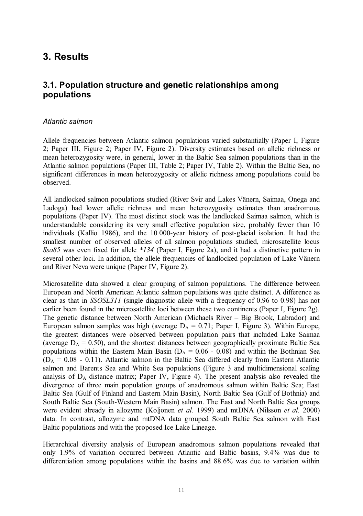## **3. Results**

### **3.1. Population structure and genetic relationships among populations**

#### *Atlantic salmon*

Allele frequencies between Atlantic salmon populations varied substantially (Paper I, Figure 2; Paper III, Figure 2; Paper IV, Figure 2). Diversity estimates based on allelic richness or mean heterozygosity were, in general, lower in the Baltic Sea salmon populations than in the Atlantic salmon populations (Paper III, Table 2; Paper IV, Table 2). Within the Baltic Sea, no significant differences in mean heterozygosity or allelic richness among populations could be observed.

All landlocked salmon populations studied (River Svir and Lakes Vänern, Saimaa, Onega and Ladoga) had lower allelic richness and mean heterozygosity estimates than anadromous populations (Paper IV). The most distinct stock was the landlocked Saimaa salmon, which is understandable considering its very small effective population size, probably fewer than 10 individuals (Kallio 1986), and the 10 000-year history of post-glacial isolation. It had the smallest number of observed alleles of all salmon populations studied, microsatellite locus *Ssa85* was even fixed for allele *\*134* (Paper I, Figure 2a), and it had a distinctive pattern in several other loci. In addition, the allele frequencies of landlocked population of Lake Vänern and River Neva were unique (Paper IV, Figure 2).

Microsatellite data showed a clear grouping of salmon populations. The difference between European and North American Atlantic salmon populations was quite distinct. A difference as clear as that in *SSOSL311* (single diagnostic allele with a frequency of 0.96 to 0.98) has not earlier been found in the microsatellite loci between these two continents (Paper I, Figure 2g). The genetic distance between North American (Michaels River – Big Brook, Labrador) and European salmon samples was high (average  $D_A = 0.71$ ; Paper I, Figure 3). Within Europe, the greatest distances were observed between population pairs that included Lake Saimaa (average  $D_A = 0.50$ ), and the shortest distances between geographically proximate Baltic Sea populations within the Eastern Main Basin ( $D_A = 0.06 - 0.08$ ) and within the Bothnian Sea  $(D_A = 0.08 - 0.11)$ . Atlantic salmon in the Baltic Sea differed clearly from Eastern Atlantic salmon and Barents Sea and White Sea populations (Figure 3 and multidimensional scaling analysis of  $D_A$  distance matrix; Paper IV, Figure 4). The present analysis also revealed the divergence of three main population groups of anadromous salmon within Baltic Sea; East Baltic Sea (Gulf of Finland and Eastern Main Basin), North Baltic Sea (Gulf of Bothnia) and South Baltic Sea (South-Western Main Basin) salmon. The East and North Baltic Sea groups were evident already in allozyme (Koljonen *et al*. 1999) and mtDNA (Nilsson *et al.* 2000) data. In contrast, allozyme and mtDNA data grouped South Baltic Sea salmon with East Baltic populations and with the proposed Ice Lake Lineage.

Hierarchical diversity analysis of European anadromous salmon populations revealed that only 1.9% of variation occurred between Atlantic and Baltic basins, 9.4% was due to differentiation among populations within the basins and 88.6% was due to variation within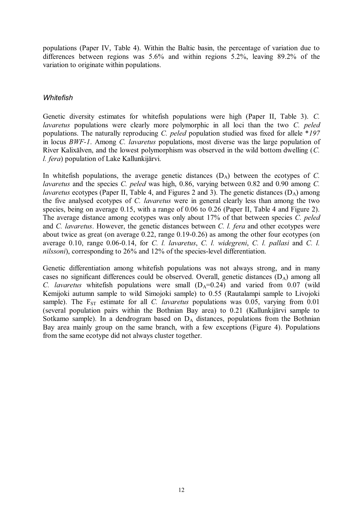populations (Paper IV, Table 4). Within the Baltic basin, the percentage of variation due to differences between regions was 5.6% and within regions 5.2%, leaving 89.2% of the variation to originate within populations.

#### *Whitefish*

Genetic diversity estimates for whitefish populations were high (Paper II, Table 3). *C. lavaretus* populations were clearly more polymorphic in all loci than the two *C. peled* populations. The naturally reproducing *C. peled* population studied was fixed for allele \**197* in locus *BWF-1*. Among *C. lavaretus* populations, most diverse was the large population of River Kalixälven, and the lowest polymorphism was observed in the wild bottom dwelling (*C. l. fera*) population of Lake Kallunkijärvi.

In whitefish populations, the average genetic distances  $(D_A)$  between the ecotypes of *C*. *lavaretus* and the species *C. peled* was high, 0.86, varying between 0.82 and 0.90 among *C. lavaretus* ecotypes (Paper II, Table 4, and Figures 2 and 3). The genetic distances (D<sub>A</sub>) among the five analysed ecotypes of *C. lavaretus* were in general clearly less than among the two species, being on average 0.15, with a range of 0.06 to 0.26 (Paper II, Table 4 and Figure 2). The average distance among ecotypes was only about 17% of that between species *C. peled* and *C. lavaretus*. However, the genetic distances between *C. l. fera* and other ecotypes were about twice as great (on average 0.22, range 0.19-0.26) as among the other four ecotypes (on average 0.10, range 0.06-0.14, for *C. l. lavaretus*, *C. l. widegreni*, *C. l. pallasi* and *C. l. nilssoni*), corresponding to 26% and 12% of the species-level differentiation.

Genetic differentiation among whitefish populations was not always strong, and in many cases no significant differences could be observed. Overall, genetic distances  $(D_A)$  among all *C. lavaretus* whitefish populations were small  $(D_A=0.24)$  and varied from 0.07 (wild Kemijoki autumn sample to wild Simojoki sample) to 0.55 (Rautalampi sample to Livojoki sample). The F<sub>ST</sub> estimate for all *C. lavaretus* populations was 0.05, varying from 0.01 (several population pairs within the Bothnian Bay area) to 0.21 (Kallunkijärvi sample to Sotkamo sample). In a dendrogram based on  $D_A$  distances, populations from the Bothnian Bay area mainly group on the same branch, with a few exceptions (Figure 4). Populations from the same ecotype did not always cluster together.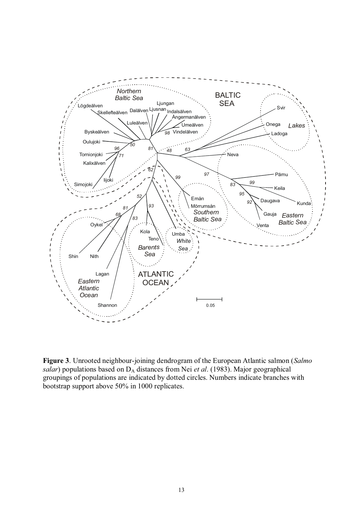

**Figure 3**. Unrooted neighbour-joining dendrogram of the European Atlantic salmon (*Salmo salar*) populations based on D<sub>A</sub> distances from Nei *et al.* (1983). Major geographical groupings of populations are indicated by dotted circles. Numbers indicate branches with bootstrap support above 50% in 1000 replicates.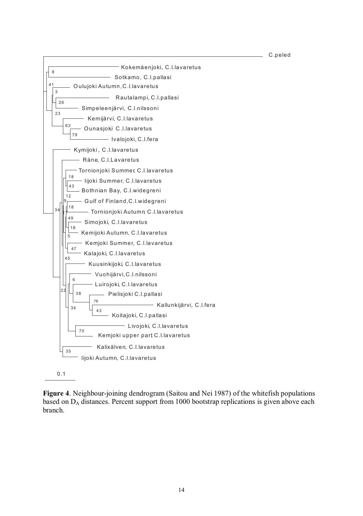0.1 C.peled Kokemäenjoki, C.l.lavaretus - Sotkamo, C.l.pallasi 8 Oulujoki Autumn,C.l.lavaretus Rautalampi, C.l.pallasi Simpeleenjärvi, C.l.nilssoni 26 3 Kemijärvi, C.l.lavaretus Ounasjoki , C .l.lavaretus <sup>79</sup> Ivalojoki, C.l.fera 63 23 41 Kymijoki , C .l.lavaretus - Råne, C.I.Lavaretus Tornionjoki Summer C.l.lavaretus , Iijoki Summer, C.l.lavaretus as<br>Bothnian Bay, C.l.widegreni 18 G ulf of Finland,C.l.widegreni Tornionjoki Autumn C.I.lavaretus Simojoki, C.I.lavaretus Kemijoki Autumn, C.I.lavaretus 49 18 Kemjoki Summer, C.I.lavaretus A<sub>1</sub><br>Kalajoki, C.l.lavaretus 18 9 Kuusinkijoki C.l.lavaretus , Vuohijärvi,C.l.nilssoni Luirojoki C.l.lavaretus , Pielisjoki C.l.pallasi Kallunkijärvi, C.l.fera <sub>43</sub><br>Koitajoki, C.l.pallasi — 78 38 6 - Livojoki, C.I.lavaretus Kemjoki upper part C.l.lavaretus , 70<br>Kemjoki upper part C.l.lavaretus 34  $\sim$ 5  $12$ Kalixälven, C.l.lavaretus <sup>-</sup> Iijoki Autumn, C.I.lavaretus 35 45  $\overline{a}$ 

**Figure 4**. Neighbour-joining dendrogram (Saitou and Nei 1987) of the whitefish populations based on  $D_A$  distances. Percent support from 1000 bootstrap replications is given above each branch.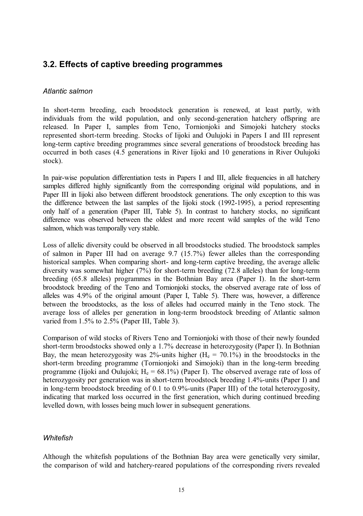### **3.2. Effects of captive breeding programmes**

#### *Atlantic salmon*

In short-term breeding, each broodstock generation is renewed, at least partly, with individuals from the wild population, and only second-generation hatchery offspring are released. In Paper I, samples from Teno, Tornionjoki and Simojoki hatchery stocks represented short-term breeding. Stocks of Iijoki and Oulujoki in Papers I and III represent long-term captive breeding programmes since several generations of broodstock breeding has occurred in both cases (4.5 generations in River Iijoki and 10 generations in River Oulujoki stock).

In pair-wise population differentiation tests in Papers I and III, allele frequencies in all hatchery samples differed highly significantly from the corresponding original wild populations, and in Paper III in Iijoki also between different broodstock generations. The only exception to this was the difference between the last samples of the Iijoki stock (1992-1995), a period representing only half of a generation (Paper III, Table 5). In contrast to hatchery stocks, no significant difference was observed between the oldest and more recent wild samples of the wild Teno salmon, which was temporally very stable.

Loss of allelic diversity could be observed in all broodstocks studied. The broodstock samples of salmon in Paper III had on average 9.7 (15.7%) fewer alleles than the corresponding historical samples. When comparing short- and long-term captive breeding, the average allelic diversity was somewhat higher (7%) for short-term breeding (72.8 alleles) than for long-term breeding (65.8 alleles) programmes in the Bothnian Bay area (Paper I). In the short-term broodstock breeding of the Teno and Tornionjoki stocks, the observed average rate of loss of alleles was 4.9% of the original amount (Paper I, Table 5). There was, however, a difference between the broodstocks, as the loss of alleles had occurred mainly in the Teno stock. The average loss of alleles per generation in long-term broodstock breeding of Atlantic salmon varied from 1.5% to 2.5% (Paper III, Table 3).

Comparison of wild stocks of Rivers Teno and Tornionjoki with those of their newly founded short-term broodstocks showed only a 1.7% decrease in heterozygosity (Paper I). In Bothnian Bay, the mean heterozygosity was 2%-units higher  $(H_e = 70.1\%)$  in the broodstocks in the short-term breeding programme (Tornionjoki and Simojoki) than in the long-term breeding programme (Iijoki and Oulujoki;  $H_e = 68.1\%$ ) (Paper I). The observed average rate of loss of heterozygosity per generation was in short-term broodstock breeding 1.4%-units (Paper I) and in long-term broodstock breeding of 0.1 to 0.9%-units (Paper III) of the total heterozygosity, indicating that marked loss occurred in the first generation, which during continued breeding levelled down, with losses being much lower in subsequent generations.

#### *Whitefish*

Although the whitefish populations of the Bothnian Bay area were genetically very similar, the comparison of wild and hatchery-reared populations of the corresponding rivers revealed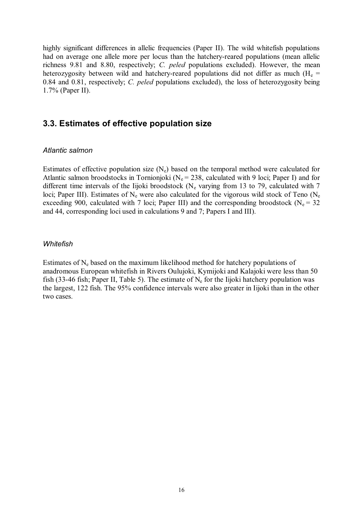highly significant differences in allelic frequencies (Paper II). The wild whitefish populations had on average one allele more per locus than the hatchery-reared populations (mean allelic richness 9.81 and 8.80, respectively; *C. peled* populations excluded). However, the mean heterozygosity between wild and hatchery-reared populations did not differ as much  $(H_e =$ 0.84 and 0.81, respectively; *C. peled* populations excluded), the loss of heterozygosity being 1.7% (Paper II).

### **3.3. Estimates of effective population size**

#### *Atlantic salmon*

Estimates of effective population size  $(N_e)$  based on the temporal method were calculated for Atlantic salmon broodstocks in Tornionjoki ( $N_e$  = 238, calculated with 9 loci; Paper I) and for different time intervals of the Iijoki broodstock ( $N_e$  varying from 13 to 79, calculated with 7 loci; Paper III). Estimates of  $N_e$  were also calculated for the vigorous wild stock of Teno ( $N_e$ exceeding 900, calculated with 7 loci; Paper III) and the corresponding broodstock (N<sub>e</sub> = 32 and 44, corresponding loci used in calculations 9 and 7; Papers I and III).

#### *Whitefish*

Estimates of  $N_e$  based on the maximum likelihood method for hatchery populations of anadromous European whitefish in Rivers Oulujoki, Kymijoki and Kalajoki were less than 50 fish (33-46 fish; Paper II, Table 5). The estimate of  $N_e$  for the Iijoki hatchery population was the largest, 122 fish. The 95% confidence intervals were also greater in Iijoki than in the other two cases.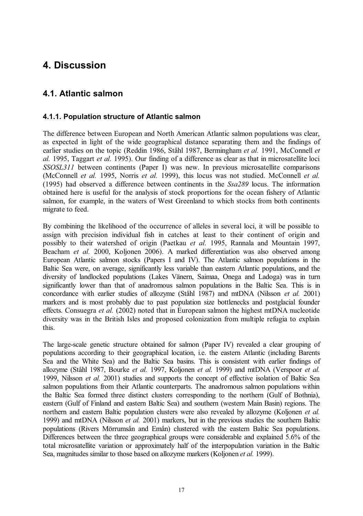## **4. Discussion**

### **4.1. Atlantic salmon**

#### **4.1.1. Population structure of Atlantic salmon**

The difference between European and North American Atlantic salmon populations was clear, as expected in light of the wide geographical distance separating them and the findings of earlier studies on the topic (Reddin 1986, Ståhl 1987, Bermingham *et al.* 1991, McConnell *et al.* 1995, Taggart *et al.* 1995). Our finding of a difference as clear as that in microsatellite loci *SSOSL311* between continents (Paper I) was new. In previous microsatellite comparisons (McConnell *et al.* 1995, Norris *et al.* 1999), this locus was not studied. McConnell *et al.* (1995) had observed a difference between continents in the *Ssa289* locus. The information obtained here is useful for the analysis of stock proportions for the ocean fishery of Atlantic salmon, for example, in the waters of West Greenland to which stocks from both continents migrate to feed.

By combining the likelihood of the occurrence of alleles in several loci, it will be possible to assign with precision individual fish in catches at least to their continent of origin and possibly to their watershed of origin (Paetkau *et al.* 1995, Rannala and Mountain 1997, Beacham *et al.* 2000, Koljonen 2006). A marked differentiation was also observed among European Atlantic salmon stocks (Papers I and IV). The Atlantic salmon populations in the Baltic Sea were, on average, significantly less variable than eastern Atlantic populations, and the diversity of landlocked populations (Lakes Vänern, Saimaa, Onega and Ladoga) was in turn significantly lower than that of anadromous salmon populations in the Baltic Sea. This is in concordance with earlier studies of allozyme (Ståhl 1987) and mtDNA (Nilsson *et al.* 2001) markers and is most probably due to past population size bottlenecks and postglacial founder effects. Consuegra *et al.* (2002) noted that in European salmon the highest mtDNA nucleotide diversity was in the British Isles and proposed colonization from multiple refugia to explain this.

The large-scale genetic structure obtained for salmon (Paper IV) revealed a clear grouping of populations according to their geographical location, i.e. the eastern Atlantic (including Barents Sea and the White Sea) and the Baltic Sea basins. This is consistent with earlier findings of allozyme (Ståhl 1987, Bourke *et al.* 1997, Koljonen *et al.* 1999) and mtDNA (Verspoor *et al.* 1999, Nilsson *et al.* 2001) studies and supports the concept of effective isolation of Baltic Sea salmon populations from their Atlantic counterparts. The anadromous salmon populations within the Baltic Sea formed three distinct clusters corresponding to the northern (Gulf of Bothnia), eastern (Gulf of Finland and eastern Baltic Sea) and southern (western Main Basin) regions. The northern and eastern Baltic population clusters were also revealed by allozyme (Koljonen *et al.* 1999) and mtDNA (Nilsson *et al.* 2001) markers, but in the previous studies the southern Baltic populations (Rivers Mörrumsån and Emån) clustered with the eastern Baltic Sea populations. Differences between the three geographical groups were considerable and explained 5.6% of the total microsatellite variation or approximately half of the interpopulation variation in the Baltic Sea, magnitudes similar to those based on allozyme markers (Koljonen *et al.* 1999).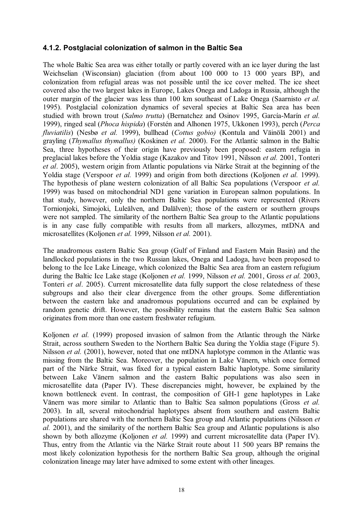#### **4.1.2. Postglacial colonization of salmon in the Baltic Sea**

The whole Baltic Sea area was either totally or partly covered with an ice layer during the last Weichselian (Wisconsian) glaciation (from about 100 000 to 13 000 years BP), and colonization from refugial areas was not possible until the ice cover melted. The ice sheet covered also the two largest lakes in Europe, Lakes Onega and Ladoga in Russia, although the outer margin of the glacier was less than 100 km southeast of Lake Onega (Saarnisto *et al.* 1995). Postglacial colonization dynamics of several species at Baltic Sea area has been studied with brown trout (*Salmo trutta*) (Bernatchez and Osinov 1995, García-Marín *et al.* 1999), ringed seal (*Phoca hispida*) (Forstén and Alhonen 1975, Ukkonen 1993), perch (*Perca fluviatilis*) (Nesbø *et al.* 1999), bullhead (*Cottus gobio)* (Kontula and Väinölä 2001) and grayling (*Thymallus thymallus)* (Koskinen *et al.* 2000). For the Atlantic salmon in the Baltic Sea, three hypotheses of their origin have previously been proposed: eastern refugia in preglacial lakes before the Yoldia stage (Kazakov and Titov 1991, Nilsson *et al.* 2001, Tonteri *et al*. 2005), western origin from Atlantic populations via Närke Strait at the beginning of the Yoldia stage (Verspoor *et al.* 1999) and origin from both directions (Koljonen *et al.* 1999). The hypothesis of plane western colonization of all Baltic Sea populations (Verspoor *et al.* 1999) was based on mitochondrial ND1 gene variation in European salmon populations. In that study, however, only the northern Baltic Sea populations were represented (Rivers Tornionjoki, Simojoki, Luleälven, and Dalälven); those of the eastern or southern groups were not sampled. The similarity of the northern Baltic Sea group to the Atlantic populations is in any case fully compatible with results from all markers, allozymes, mtDNA and microsatellites (Koljonen *et al.* 1999, Nilsson *et al.* 2001).

The anadromous eastern Baltic Sea group (Gulf of Finland and Eastern Main Basin) and the landlocked populations in the two Russian lakes, Onega and Ladoga, have been proposed to belong to the Ice Lake Lineage, which colonized the Baltic Sea area from an eastern refugium during the Baltic Ice Lake stage (Koljonen *et al.* 1999, Nilsson *et al.* 2001, Gross *et al.* 2003, Tonteri *et al*. 2005). Current microsatellite data fully support the close relatedness of these subgroups and also their clear divergence from the other groups. Some differentiation between the eastern lake and anadromous populations occurred and can be explained by random genetic drift. However, the possibility remains that the eastern Baltic Sea salmon originates from more than one eastern freshwater refugium.

Koljonen *et al.* (1999) proposed invasion of salmon from the Atlantic through the Närke Strait, across southern Sweden to the Northern Baltic Sea during the Yoldia stage (Figure 5). Nilsson *et al.* (2001), however, noted that one mtDNA haplotype common in the Atlantic was missing from the Baltic Sea. Moreover, the population in Lake Vänern, which once formed part of the Närke Strait, was fixed for a typical eastern Baltic haplotype. Some similarity between Lake Vänern salmon and the eastern Baltic populations was also seen in microsatellite data (Paper IV). These discrepancies might, however, be explained by the known bottleneck event. In contrast, the composition of GH-1 gene haplotypes in Lake Vänern was more similar to Atlantic than to Baltic Sea salmon populations (Gross *et al.* 2003). In all, several mitochondrial haplotypes absent from southern and eastern Baltic populations are shared with the northern Baltic Sea group and Atlantic populations (Nilsson *et al.* 2001), and the similarity of the northern Baltic Sea group and Atlantic populations is also shown by both allozyme (Koljonen *et al.* 1999) and current microsatellite data (Paper IV). Thus, entry from the Atlantic via the Närke Strait route about 11 500 years BP remains the most likely colonization hypothesis for the northern Baltic Sea group, although the original colonization lineage may later have admixed to some extent with other lineages.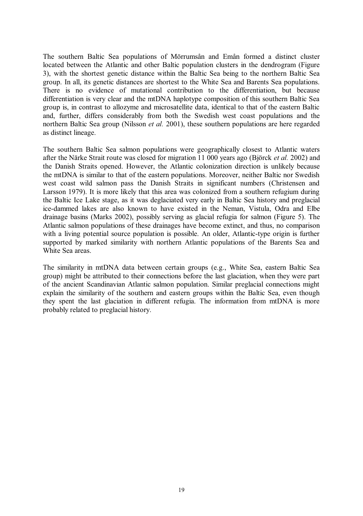The southern Baltic Sea populations of Mörrumsån and Emån formed a distinct cluster located between the Atlantic and other Baltic population clusters in the dendrogram (Figure 3), with the shortest genetic distance within the Baltic Sea being to the northern Baltic Sea group. In all, its genetic distances are shortest to the White Sea and Barents Sea populations. There is no evidence of mutational contribution to the differentiation, but because differentiation is very clear and the mtDNA haplotype composition of this southern Baltic Sea group is, in contrast to allozyme and microsatellite data, identical to that of the eastern Baltic and, further, differs considerably from both the Swedish west coast populations and the northern Baltic Sea group (Nilsson *et al.* 2001), these southern populations are here regarded as distinct lineage.

The southern Baltic Sea salmon populations were geographically closest to Atlantic waters after the Närke Strait route was closed for migration 11 000 years ago (Björck *et al.* 2002) and the Danish Straits opened. However, the Atlantic colonization direction is unlikely because the mtDNA is similar to that of the eastern populations. Moreover, neither Baltic nor Swedish west coast wild salmon pass the Danish Straits in significant numbers (Christensen and Larsson 1979). It is more likely that this area was colonized from a southern refugium during the Baltic Ice Lake stage, as it was deglaciated very early in Baltic Sea history and preglacial ice-dammed lakes are also known to have existed in the Neman, Vistula, Odra and Elbe drainage basins (Marks 2002), possibly serving as glacial refugia for salmon (Figure 5). The Atlantic salmon populations of these drainages have become extinct, and thus, no comparison with a living potential source population is possible. An older, Atlantic-type origin is further supported by marked similarity with northern Atlantic populations of the Barents Sea and White Sea areas.

The similarity in mtDNA data between certain groups (e.g., White Sea, eastern Baltic Sea group) might be attributed to their connections before the last glaciation, when they were part of the ancient Scandinavian Atlantic salmon population. Similar preglacial connections might explain the similarity of the southern and eastern groups within the Baltic Sea, even though they spent the last glaciation in different refugia. The information from mtDNA is more probably related to preglacial history.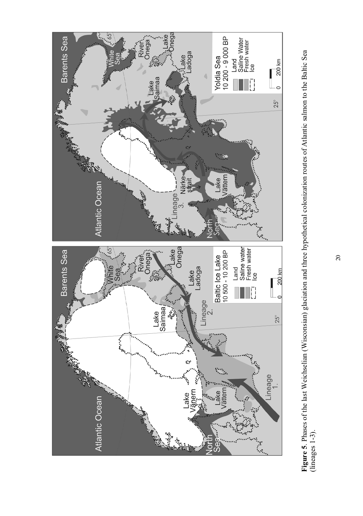

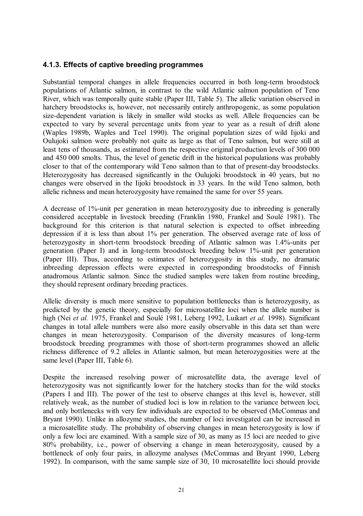#### **4.1.3. Effects of captive breeding programmes**

Substantial temporal changes in allele frequencies occurred in both long-term broodstock populations of Atlantic salmon, in contrast to the wild Atlantic salmon population of Teno River, which was temporally quite stable (Paper III, Table 5). The allelic variation observed in hatchery broodstocks is, however, not necessarily entirely anthropogenic, as some population size-dependent variation is likely in smaller wild stocks as well. Allele frequencies can be expected to vary by several percentage units from year to year as a result of drift alone (Waples 1989b, Waples and Teel 1990). The original population sizes of wild Iijoki and Oulujoki salmon were probably not quite as large as that of Teno salmon, but were still at least tens of thousands, as estimated from the respective original production levels of 300 000 and 450 000 smolts. Thus, the level of genetic drift in the historical populations was probably closer to that of the contemporary wild Teno salmon than to that of present-day broodstocks. Heterozygosity has decreased significantly in the Oulujoki broodstock in 40 years, but no changes were observed in the Iijoki broodstock in 33 years. In the wild Teno salmon, both allelic richness and mean heterozygosity have remained the same for over 55 years.

A decrease of 1%-unit per generation in mean heterozygosity due to inbreeding is generally considered acceptable in livestock breeding (Franklin 1980, Frankel and Soulé 1981). The background for this criterion is that natural selection is expected to offset inbreeding depression if it is less than about 1% per generation. The observed average rate of loss of heterozygosity in short-term broodstock breeding of Atlantic salmon was 1.4%-units per generation (Paper I) and in long-term broodstock breeding below 1%-unit per generation (Paper III). Thus, according to estimates of heterozygosity in this study, no dramatic inbreeding depression effects were expected in corresponding broodstocks of Finnish anadromous Atlantic salmon. Since the studied samples were taken from routine breeding, they should represent ordinary breeding practices.

Allelic diversity is much more sensitive to population bottlenecks than is heterozygosity, as predicted by the genetic theory, especially for microsatellite loci when the allele number is high (Nei *et al.* 1975, Frankel and Soulé 1981, Leberg 1992, Luikart *et al.* 1998). Significant changes in total allele numbers were also more easily observable in this data set than were changes in mean heterozygosity. Comparison of the diversity measures of long-term broodstock breeding programmes with those of short-term programmes showed an allelic richness difference of 9.2 alleles in Atlantic salmon, but mean heterozygosities were at the same level (Paper III, Table 6).

Despite the increased resolving power of microsatellite data, the average level of heterozygosity was not significantly lower for the hatchery stocks than for the wild stocks (Papers I and III). The power of the test to observe changes at this level is, however, still relatively weak, as the number of studied loci is low in relation to the variance between loci, and only bottlenecks with very few individuals are expected to be observed (McCommas and Bryant 1990). Unlike in allozyme studies, the number of loci investigated can be increased in a microsatellite study. The probability of observing changes in mean heterozygosity is low if only a few loci are examined. With a sample size of 30, as many as 15 loci are needed to give 80% probability, i.e., power of observing a change in mean heterozygosity, caused by a bottleneck of only four pairs, in allozyme analyses (McCommas and Bryant 1990, Leberg 1992). In comparison, with the same sample size of 30, 10 microsatellite loci should provide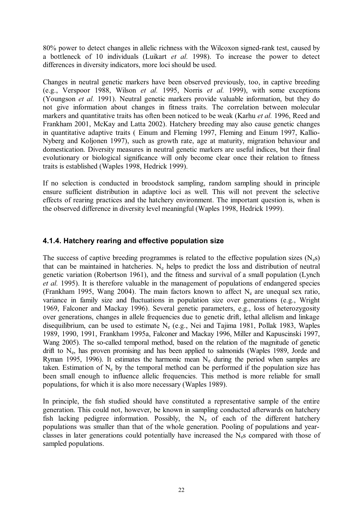80% power to detect changes in allelic richness with the Wilcoxon signed-rank test, caused by a bottleneck of 10 individuals (Luikart *et al.* 1998). To increase the power to detect differences in diversity indicators, more loci should be used.

Changes in neutral genetic markers have been observed previously, too, in captive breeding (e.g., Verspoor 1988, Wilson *et al.* 1995, Norris *et al.* 1999), with some exceptions (Youngson *et al.* 1991). Neutral genetic markers provide valuable information, but they do not give information about changes in fitness traits. The correlation between molecular markers and quantitative traits has often been noticed to be weak (Karhu *et al.* 1996, Reed and Frankham 2001, McKay and Latta 2002). Hatchery breeding may also cause genetic changes in quantitative adaptive traits ( Einum and Fleming 1997, Fleming and Einum 1997, Kallio-Nyberg and Koljonen 1997), such as growth rate, age at maturity, migration behaviour and domestication. Diversity measures in neutral genetic markers are useful indices, but their final evolutionary or biological significance will only become clear once their relation to fitness traits is established (Waples 1998, Hedrick 1999).

If no selection is conducted in broodstock sampling, random sampling should in principle ensure sufficient distribution in adaptive loci as well. This will not prevent the selective effects of rearing practices and the hatchery environment. The important question is, when is the observed difference in diversity level meaningful (Waples 1998, Hedrick 1999).

#### **4.1.4. Hatchery rearing and effective population size**

The success of captive breeding programmes is related to the effective population sizes ( $N_{\rm e}s$ ) that can be maintained in hatcheries.  $N_e$  helps to predict the loss and distribution of neutral genetic variation (Robertson 1961), and the fitness and survival of a small population (Lynch *et al.* 1995). It is therefore valuable in the management of populations of endangered species (Frankham 1995, Wang 2004). The main factors known to affect  $N_e$  are unequal sex ratio, variance in family size and fluctuations in population size over generations (e.g., Wright 1969, Falconer and Mackay 1996). Several genetic parameters, e.g., loss of heterozygosity over generations, changes in allele frequencies due to genetic drift, lethal allelism and linkage disequilibrium, can be used to estimate  $N_e$  (e.g., Nei and Tajima 1981, Pollak 1983, Waples 1989, 1990, 1991, Frankham 1995a, Falconer and Mackay 1996, Miller and Kapuscinski 1997, Wang 2005). The so-called temporal method, based on the relation of the magnitude of genetic drift to Ne, has proven promising and has been applied to salmonids (Waples 1989, Jorde and Ryman 1995, 1996). It estimates the harmonic mean  $N_e$  during the period when samples are taken. Estimation of  $N_e$  by the temporal method can be performed if the population size has been small enough to influence allelic frequencies. This method is more reliable for small populations, for which it is also more necessary (Waples 1989).

In principle, the fish studied should have constituted a representative sample of the entire generation. This could not, however, be known in sampling conducted afterwards on hatchery fish lacking pedigree information. Possibly, the  $N_e$  of each of the different hatchery populations was smaller than that of the whole generation. Pooling of populations and yearclasses in later generations could potentially have increased the  $N<sub>e</sub>$ s compared with those of sampled populations.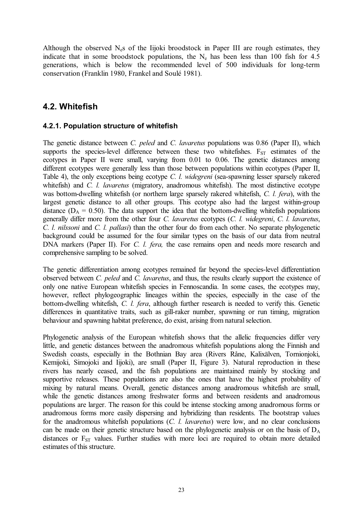Although the observed  $N_e$ s of the Iijoki broodstock in Paper III are rough estimates, they indicate that in some broodstock populations, the  $N_e$  has been less than 100 fish for 4.5 generations, which is below the recommended level of 500 individuals for long-term conservation (Franklin 1980, Frankel and Soulé 1981).

### **4.2. Whitefish**

#### **4.2.1. Population structure of whitefish**

The genetic distance between *C. peled* and *C. lavaretus* populations was 0.86 (Paper II), which supports the species-level difference between these two whitefishes.  $F_{ST}$  estimates of the ecotypes in Paper II were small, varying from 0.01 to 0.06. The genetic distances among different ecotypes were generally less than those between populations within ecotypes (Paper II, Table 4), the only exceptions being ecotype *C. l. widegreni* (sea-spawning lesser sparsely rakered whitefish) and *C. l. lavaretus* (migratory, anadromous whitefish). The most distinctive ecotype was bottom-dwelling whitefish (or northern large sparsely rakered whitefish, *C. l. fera*), with the largest genetic distance to all other groups. This ecotype also had the largest within-group distance ( $D_A = 0.50$ ). The data support the idea that the bottom-dwelling whitefish populations generally differ more from the other four *C. lavaretus* ecotypes (*C. l. widegreni*, *C. l. lavaretus*, *C. l. nilssoni* and *C. l. pallasi*) than the other four do from each other. No separate phylogenetic background could be assumed for the four similar types on the basis of our data from neutral DNA markers (Paper II). For *C. l. fera,* the case remains open and needs more research and comprehensive sampling to be solved.

The genetic differentiation among ecotypes remained far beyond the species-level differentiation observed between *C. peled* and *C. lavaretus*, and thus, the results clearly support the existence of only one native European whitefish species in Fennoscandia. In some cases, the ecotypes may, however, reflect phylogeographic lineages within the species, especially in the case of the bottom-dwelling whitefish, *C. l. fera*, although further research is needed to verify this. Genetic differences in quantitative traits, such as gill-raker number, spawning or run timing, migration behaviour and spawning habitat preference, do exist, arising from natural selection.

Phylogenetic analysis of the European whitefish shows that the allelic frequencies differ very little, and genetic distances between the anadromous whitefish populations along the Finnish and Swedish coasts, especially in the Bothnian Bay area (Rivers Råne, Kalixälven, Tornionjoki, Kemijoki, Simojoki and Iijoki), are small (Paper II, Figure 3). Natural reproduction in these rivers has nearly ceased, and the fish populations are maintained mainly by stocking and supportive releases. These populations are also the ones that have the highest probability of mixing by natural means. Overall, genetic distances among anadromous whitefish are small, while the genetic distances among freshwater forms and between residents and anadromous populations are larger. The reason for this could be intense stocking among anadromous forms or anadromous forms more easily dispersing and hybridizing than residents. The bootstrap values for the anadromous whitefish populations (*C. l. lavaretus*) were low, and no clear conclusions can be made on their genetic structure based on the phylogenetic analysis or on the basis of  $D_A$ distances or F<sub>ST</sub> values. Further studies with more loci are required to obtain more detailed estimates of this structure.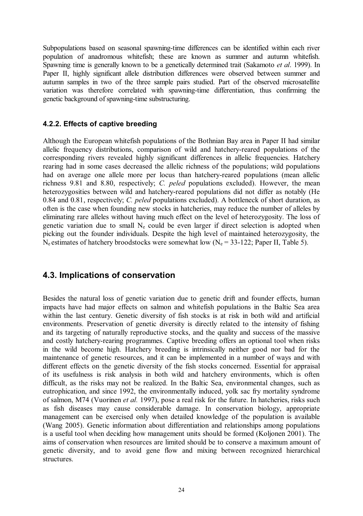Subpopulations based on seasonal spawning-time differences can be identified within each river population of anadromous whitefish; these are known as summer and autumn whitefish. Spawning time is generally known to be a genetically determined trait (Sakamoto *et al*. 1999). In Paper II, highly significant allele distribution differences were observed between summer and autumn samples in two of the three sample pairs studied. Part of the observed microsatellite variation was therefore correlated with spawning-time differentiation, thus confirming the genetic background of spawning-time substructuring.

#### **4.2.2. Effects of captive breeding**

Although the European whitefish populations of the Bothnian Bay area in Paper II had similar allelic frequency distributions, comparison of wild and hatchery-reared populations of the corresponding rivers revealed highly significant differences in allelic frequencies. Hatchery rearing had in some cases decreased the allelic richness of the populations; wild populations had on average one allele more per locus than hatchery-reared populations (mean allelic richness 9.81 and 8.80, respectively; *C. peled* populations excluded). However, the mean heterozygosities between wild and hatchery-reared populations did not differ as notably (He 0.84 and 0.81, respectively; *C. peled* populations excluded). A bottleneck of short duration, as often is the case when founding new stocks in hatcheries, may reduce the number of alleles by eliminating rare alleles without having much effect on the level of heterozygosity. The loss of genetic variation due to small  $N_e$  could be even larger if direct selection is adopted when picking out the founder individuals. Despite the high level of maintained heterozygosity, the  $N_e$  estimates of hatchery broodstocks were somewhat low  $(N_e = 33-122)$ ; Paper II, Table 5).

#### **4.3. Implications of conservation**

Besides the natural loss of genetic variation due to genetic drift and founder effects, human impacts have had major effects on salmon and whitefish populations in the Baltic Sea area within the last century. Genetic diversity of fish stocks is at risk in both wild and artificial environments. Preservation of genetic diversity is directly related to the intensity of fishing and its targeting of naturally reproductive stocks, and the quality and success of the massive and costly hatchery-rearing programmes. Captive breeding offers an optional tool when risks in the wild become high. Hatchery breeding is intrinsically neither good nor bad for the maintenance of genetic resources, and it can be implemented in a number of ways and with different effects on the genetic diversity of the fish stocks concerned. Essential for appraisal of its usefulness is risk analysis in both wild and hatchery environments, which is often difficult, as the risks may not be realized. In the Baltic Sea, environmental changes, such as eutrophication, and since 1992, the environmentally induced, yolk sac fry mortality syndrome of salmon, M74 (Vuorinen *et al.* 1997), pose a real risk for the future. In hatcheries, risks such as fish diseases may cause considerable damage. In conservation biology, appropriate management can be exercised only when detailed knowledge of the population is available (Wang 2005). Genetic information about differentiation and relationships among populations is a useful tool when deciding how management units should be formed (Koljonen 2001). The aims of conservation when resources are limited should be to conserve a maximum amount of genetic diversity, and to avoid gene flow and mixing between recognized hierarchical structures.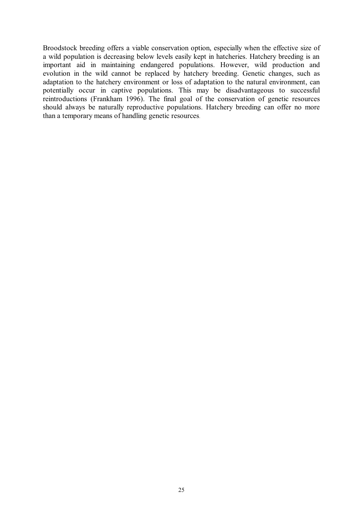Broodstock breeding offers a viable conservation option, especially when the effective size of a wild population is decreasing below levels easily kept in hatcheries. Hatchery breeding is an important aid in maintaining endangered populations. However, wild production and evolution in the wild cannot be replaced by hatchery breeding. Genetic changes, such as adaptation to the hatchery environment or loss of adaptation to the natural environment, can potentially occur in captive populations. This may be disadvantageous to successful reintroductions (Frankham 1996). The final goal of the conservation of genetic resources should always be naturally reproductive populations. Hatchery breeding can offer no more than a temporary means of handling genetic resources.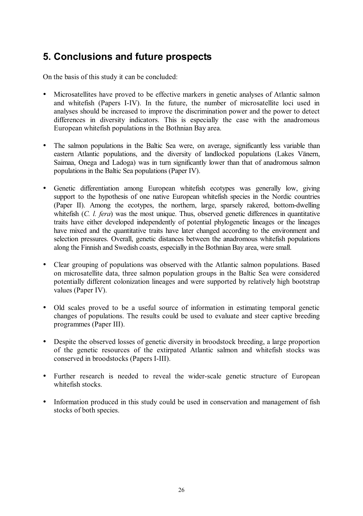## **5. Conclusions and future prospects**

On the basis of this study it can be concluded:

- Microsatellites have proved to be effective markers in genetic analyses of Atlantic salmon and whitefish (Papers I-IV). In the future, the number of microsatellite loci used in analyses should be increased to improve the discrimination power and the power to detect differences in diversity indicators. This is especially the case with the anadromous European whitefish populations in the Bothnian Bay area.
- The salmon populations in the Baltic Sea were, on average, significantly less variable than eastern Atlantic populations, and the diversity of landlocked populations (Lakes Vänern, Saimaa, Onega and Ladoga) was in turn significantly lower than that of anadromous salmon populations in the Baltic Sea populations (Paper IV).
- Genetic differentiation among European whitefish ecotypes was generally low, giving support to the hypothesis of one native European whitefish species in the Nordic countries (Paper II). Among the ecotypes, the northern, large, sparsely rakered, bottom-dwelling whitefish (*C. l. fera*) was the most unique. Thus, observed genetic differences in quantitative traits have either developed independently of potential phylogenetic lineages or the lineages have mixed and the quantitative traits have later changed according to the environment and selection pressures. Overall, genetic distances between the anadromous whitefish populations along the Finnish and Swedish coasts, especially in the Bothnian Bay area, were small.
- Clear grouping of populations was observed with the Atlantic salmon populations. Based on microsatellite data, three salmon population groups in the Baltic Sea were considered potentially different colonization lineages and were supported by relatively high bootstrap values (Paper IV).
- Old scales proved to be a useful source of information in estimating temporal genetic changes of populations. The results could be used to evaluate and steer captive breeding programmes (Paper III).
- Despite the observed losses of genetic diversity in broodstock breeding, a large proportion of the genetic resources of the extirpated Atlantic salmon and whitefish stocks was conserved in broodstocks (Papers I-III).
- Further research is needed to reveal the wider-scale genetic structure of European whitefish stocks.
- Information produced in this study could be used in conservation and management of fish stocks of both species.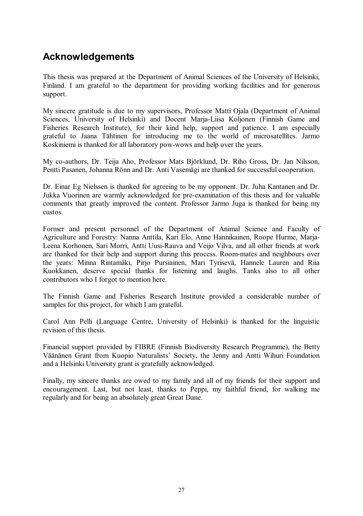## **Acknowledgements**

This thesis was prepared at the Department of Animal Sciences of the University of Helsinki, Finland. I am grateful to the department for providing working facilities and for generous support.

My sincere gratitude is due to my supervisors, Professor Matti Ojala (Department of Animal Sciences, University of Helsinki) and Docent Marja-Liisa Koljonen (Finnish Game and Fisheries Research Institute), for their kind help, support and patience. I am especially grateful to Jaana Tähtinen for introducing me to the world of microsatellites. Jarmo Koskiniemi is thanked for all laboratory pow-wows and help over the years.

My co-authors, Dr. Teija Aho, Professor Mats Björklund, Dr. Riho Gross, Dr. Jan Nilsson, Pentti Pasanen, Johanna Rönn and Dr. Anti Vasemägi are thanked for successful cooperation.

Dr. Einar Eg Nielssen is thanked for agreeing to be my opponent. Dr. Juha Kantanen and Dr. Jukka Vuorinen are warmly acknowledged for pre-examination of this thesis and for valuable comments that greatly improved the content. Professor Jarmo Juga is thanked for being my custos.

Former and present personnel of the Department of Animal Science and Faculty of Agriculture and Forestry: Nanna Anttila, Kari Elo, Anne Hannikainen, Roope Hurme, Marja-Leena Korhonen, Sari Morri, Antti Uusi-Rauva and Veijo Vilva, and all other friends at work are thanked for their help and support during this process. Room-mates and neighbours over the years: Minna Rintamäki, Pirjo Pursiainen, Mari Tyrisevä, Hannele Lauren and Riia Kuokkanen, deserve special thanks for listening and laughs. Tanks also to all other contributors who I forgot to mention here.

The Finnish Game and Fisheries Research Institute provided a considerable number of samples for this project, for which I am grateful.

Carol Ann Pelli (Language Centre, University of Helsinki) is thanked for the linguistic revision of this thesis.

Financial support provided by FIBRE (Finnish Biodiversity Research Programme), the Betty Väänänen Grant from Kuopio Naturalists' Society, the Jenny and Antti Wihuri Foundation and a Helsinki University grant is gratefully acknowledged.

Finally, my sincere thanks are owed to my family and all of my friends for their support and encouragement. Last, but not least, thanks to Peppi, my faithful friend, for walking me regularly and for being an absolutely great Great Dane.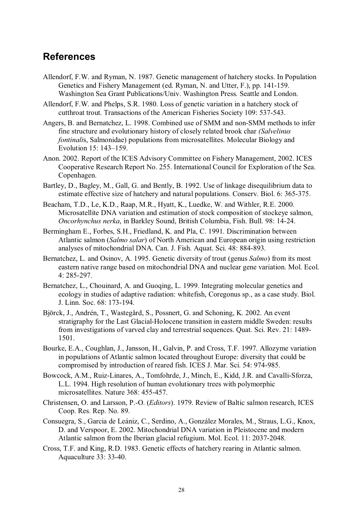## **References**

- Allendorf, F.W. and Ryman, N. 1987. Genetic management of hatchery stocks. In Population Genetics and Fishery Management (ed. Ryman, N. and Utter, F.), pp. 141-159. Washington Sea Grant Publications/Univ. Washington Press. Seattle and London.
- Allendorf, F.W. and Phelps, S.R. 1980. Loss of genetic variation in a hatchery stock of cutthroat trout. Transactions of the American Fisheries Society 109: 537-543.
- Angers, B. and Bernatchez, L. 1998. Combined use of SMM and non-SMM methods to infer fine structure and evolutionary history of closely related brook char *(Salvelinus fontinali*s, Salmonidae) populations from microsatellites. Molecular Biology and Evolution 15: 143–159.
- Anon. 2002. Report of the ICES Advisory Committee on Fishery Management, 2002. ICES Cooperative Research Report No. 255. International Council for Exploration of the Sea. Copenhagen.
- Bartley, D., Bagley, M., Gall, G. and Bently, B. 1992. Use of linkage disequilibrium data to estimate effective size of hatchery and natural populations. Conserv. Biol. 6: 365-375.
- Beacham, T.D., Le, K.D., Raap, M.R., Hyatt, K., Luedke, W. and Withler, R.E. 2000. Microsatellite DNA variation and estimation of stock composition of stockeye salmon, *Oncorhynchus nerka*, in Barkley Sound, British Columbia, Fish. Bull. 98: 14-24.
- Bermingham E., Forbes, S.H., Friedland, K. and Pla, C. 1991. Discrimination between Atlantic salmon (*Salmo salar*) of North American and European origin using restriction analyses of mitochondrial DNA. Can. J. Fish. Aquat. Sci. 48: 884-893.
- Bernatchez, L. and Osinov, A. 1995. Genetic diversity of trout (genus *Salmo*) from its most eastern native range based on mitochondrial DNA and nuclear gene variation. Mol. Ecol. 4: 285-297.
- Bernatchez, L., Chouinard, A. and Guoqing, L. 1999. Integrating molecular genetics and ecology in studies of adaptive radiation: whitefish, Coregonus sp., as a case study. Biol. J. Linn. Soc. 68: 173-194.
- Björck, J., Andrén, T., Wastegård, S., Possnert, G. and Schoning, K. 2002. An event stratigraphy for the Last Glacial-Holocene transition in eastern middle Sweden: results from investigations of varved clay and terrestrial sequences. Quat. Sci. Rev. 21: 1489- 1501.
- Bourke, E.A., Coughlan, J., Jansson, H., Galvin, P. and Cross, T.F. 1997. Allozyme variation in populations of Atlantic salmon located throughout Europe: diversity that could be compromised by introduction of reared fish. ICES J. Mar. Sci. 54: 974-985.
- Bowcock, A.M., Ruiz-Linares, A., Tomfohrde, J., Minch, E., Kidd, J.R. and Cavalli-Sforza, L.L. 1994. High resolution of human evolutionary trees with polymorphic microsatellites. Nature 368: 455-457.
- Christensen, O. and Larsson, P.-O. (*Editors*). 1979. Review of Baltic salmon research, ICES Coop. Res. Rep. No. 89.
- Consuegra, S., Garcia de Leániz, C., Serdino, A., González Morales, M., Straus, L.G., Knox, D. and Verspoor, E. 2002. Mitochondrial DNA variation in Pleistocene and modern Atlantic salmon from the Iberian glacial refugium. Mol. Ecol. 11: 2037-2048.
- Cross, T.F. and King, R.D. 1983. Genetic effects of hatchery rearing in Atlantic salmon. Aquaculture 33: 33-40.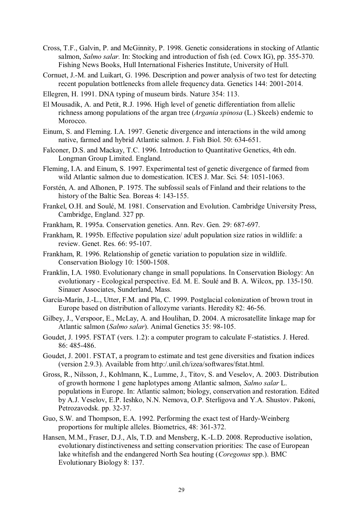- Cross, T.F., Galvin, P. and McGinnity, P. 1998. Genetic considerations in stocking of Atlantic salmon, *Salmo salar.* In: Stocking and introduction of fish (ed. Cowx IG), pp. 355-370. Fishing News Books, Hull International Fisheries Institute, University of Hull.
- Cornuet, J.-M. and Luikart, G. 1996. Description and power analysis of two test for detecting recent population bottlenecks from allele frequency data. Genetics 144: 2001-2014.
- Ellegren, H. 1991. DNA typing of museum birds. Nature 354: 113.
- El Mousadik, A. and Petit, R.J. 1996. High level of genetic differentiation from allelic richness among populations of the argan tree (*Argania spinosa* (L.) Skeels) endemic to **Morocco**
- Einum, S. and Fleming. I.A. 1997. Genetic divergence and interactions in the wild among native, farmed and hybrid Atlantic salmon. J. Fish Biol. 50: 634-651.
- Falconer, D.S. and Mackay, T.C. 1996. Introduction to Quantitative Genetics, 4th edn. Longman Group Limited. England.
- Fleming, I.A. and Einum, S. 1997. Experimental test of genetic divergence of farmed from wild Atlantic salmon due to domestication. ICES J. Mar. Sci. 54: 1051-1063.
- Forstén, A. and Alhonen, P. 1975. The subfossil seals of Finland and their relations to the history of the Baltic Sea. Boreas 4: 143-155.
- Frankel, O.H. and Soulé, M. 1981. Conservation and Evolution. Cambridge University Press, Cambridge, England. 327 pp.
- Frankham, R. 1995a. Conservation genetics. Ann. Rev. Gen. 29: 687-697.
- Frankham, R. 1995b. Effective population size/ adult population size ratios in wildlife: a review. Genet. Res. 66: 95-107.
- Frankham, R. 1996. Relationship of genetic variation to population size in wildlife. Conservation Biology 10: 1500-1508.
- Franklin, I.A. 1980. Evolutionary change in small populations. In Conservation Biology: An evolutionary - Ecological perspective. Ed. M. E. Soulé and B. A. Wilcox, pp. 135-150. Sinauer Associates, Sunderland, Mass.
- García-Marín, J.-L., Utter, F.M. and Pla, C. 1999. Postglacial colonization of brown trout in Europe based on distribution of allozyme variants. Heredity 82: 46-56.
- Gilbey, J., Verspoor, E., McLay, A. and Houlihan, D. 2004. A microsatellite linkage map for Atlantic salmon (*Salmo salar*). Animal Genetics 35: 98-105.
- Goudet, J. 1995. FSTAT (vers. 1.2): a computer program to calculate F-statistics. J. Hered. 86: 485-486.
- Goudet, J. 2001. FSTAT, a program to estimate and test gene diversities and fixation indices (version 2.9.3). Available from http:/.unil.ch/izea/softwares/fstat.html.
- Gross, R., Nilsson, J., Kohlmann, K., Lumme, J., Titov, S. and Veselov, A. 2003. Distribution of growth hormone 1 gene haplotypes among Atlantic salmon, *Salmo salar* L. populations in Europe. In: Atlantic salmon; biology, conservation and restoration. Edited by A.J. Veselov, E.P. Ieshko, N.N. Nemova, O.P. Sterligova and Y.A. Shustov. Pakoni, Petrozavodsk. pp. 32-37.
- Guo, S.W. and Thompson, E.A. 1992. Performing the exact test of Hardy-Weinberg proportions for multiple alleles. Biometrics, 48: 361-372.
- Hansen, M.M., Fraser, D.J., Als, T.D. and Mensberg, K.-L.D. 2008. Reproductive isolation, evolutionary distinctiveness and setting conservation priorities: The case of European lake whitefish and the endangered North Sea houting (*Coregonus* spp.). BMC Evolutionary Biology 8: 137.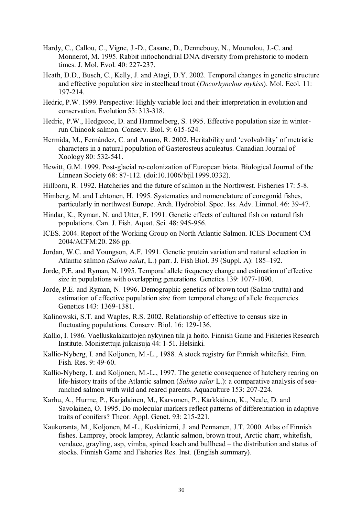- Hardy, C., Callou, C., Vigne, J.-D., Casane, D., Dennebouy, N., Mounolou, J.-C. and Monnerot, M. 1995. Rabbit mitochondrial DNA diversity from prehistoric to modern times. J. Mol. Evol. 40: 227-237.
- Heath, D.D., Busch, C., Kelly, J. and Atagi, D.Y. 2002. Temporal changes in genetic structure and effective population size in steelhead trout (*Oncorhynchus mykiss*). Mol. Ecol. 11: 197-214.
- Hedric, P.W. 1999. Perspective: Highly variable loci and their interpretation in evolution and conservation. Evolution 53: 313-318.
- Hedric, P.W., Hedgecoc, D. and Hammelberg, S. 1995. Effective population size in winterrun Chinook salmon. Conserv. Biol. 9: 615-624.
- Hermida, M., Fernández, C. and Amaro, R. 2002. Heritability and 'evolvability' of metristic characters in a natural population of Gasterosteus aculeatus. Canadian Journal of Xoology 80: 532-541.
- Hewitt, G.M. 1999. Post-glacial re-colonization of European biota. Biological Journal of the Linnean Society 68: 87-112. (doi:10.1006/bijl.1999.0332).
- Hillborn, R. 1992. Hatcheries and the future of salmon in the Northwest. Fisheries 17: 5-8.
- Himberg, M. and Lehtonen, H. 1995. Systematics and nomenclature of coregonid fishes, particularly in northwest Europe. Arch. Hydrobiol. Spec. Iss. Adv. Limnol. 46: 39-47.
- Hindar, K., Ryman, N. and Utter, F. 1991. Genetic effects of cultured fish on natural fish populations. Can. J. Fish. Aquat. Sci. 48: 945-956.
- ICES. 2004. Report of the Working Group on North Atlantic Salmon. ICES Document CM 2004/ACFM:20. 286 pp.
- Jordan, W.C. and Youngson, A.F. 1991. Genetic protein variation and natural selection in Atlantic salmon *(Salmo sala*r, L.) parr. J. Fish Biol. 39 (Suppl. A): 185–192.
- Jorde, P.E. and Ryman, N. 1995. Temporal allele frequency change and estimation of effective size in populations with overlapping generations. Genetics 139: 1077-1090.
- Jorde, P.E. and Ryman, N. 1996. Demographic genetics of brown tout (Salmo trutta) and estimation of effective population size from temporal change of allele frequencies. Genetics 143: 1369-1381.
- Kalinowski, S.T. and Waples, R.S. 2002. Relationship of effective to census size in fluctuating populations. Conserv. Biol. 16: 129-136.
- Kallio, I. 1986. Vaelluskalakantojen nykyinen tila ja hoito. Finnish Game and Fisheries Research Institute. Monistettuja julkaisuja 44: 1-51. Helsinki.
- Kallio-Nyberg, I. and Koljonen, M.-L., 1988. A stock registry for Finnish whitefish. Finn. Fish. Res. 9: 49-60.
- Kallio-Nyberg, I. and Koljonen, M.-L., 1997. The genetic consequence of hatchery rearing on life-history traits of the Atlantic salmon (*Salmo salar* L.): a comparative analysis of searanched salmon with wild and reared parents. Aquaculture 153: 207-224.
- Karhu, A., Hurme, P., Karjalainen, M., Karvonen, P., Kärkkäinen, K., Neale, D. and Savolainen, O. 1995. Do molecular markers reflect patterns of differentiation in adaptive traits of conifers? Theor. Appl. Genet. 93: 215-221.
- Kaukoranta, M., Koljonen, M.-L., Koskiniemi, J. and Pennanen, J.T. 2000. Atlas of Finnish fishes. Lamprey, brook lamprey, Atlantic salmon, brown trout, Arctic charr, whitefish, vendace, grayling, asp, vimba, spined loach and bullhead – the distribution and status of stocks. Finnish Game and Fisheries Res. Inst. (English summary).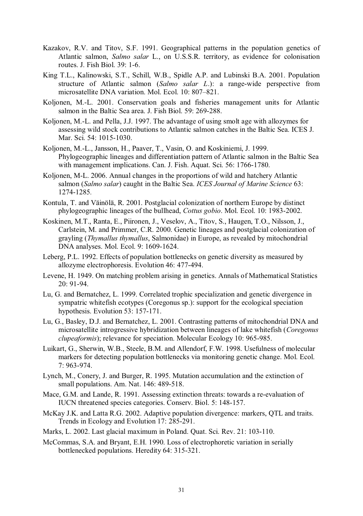- Kazakov, R.V. and Titov, S.F. 1991. Geographical patterns in the population genetics of Atlantic salmon, *Salmo salar* L., on U.S.S.R. territory, as evidence for colonisation routes. J. Fish Biol. 39: 1-6.
- King T.L., Kalinowski, S.T., Schill, W.B., Spidle A.P. and Lubinski B.A. 2001. Population structure of Atlantic salmon (*Salmo salar L*.): a range-wide perspective from microsatellite DNA variation. Mol. Ecol. 10: 807–821.
- Koljonen, M.-L. 2001. Conservation goals and fisheries management units for Atlantic salmon in the Baltic Sea area. J. Fish Biol. 59: 269-288.
- Koljonen, M.-L. and Pella, J.J. 1997. The advantage of using smolt age with allozymes for assessing wild stock contributions to Atlantic salmon catches in the Baltic Sea. ICES J. Mar. Sci. 54: 1015-1030.
- Koljonen, M.-L., Jansson, H., Paaver, T., Vasin, O. and Koskiniemi, J. 1999. Phylogeographic lineages and differentiation pattern of Atlantic salmon in the Baltic Sea with management implications. Can. J. Fish. Aquat. Sci. 56: 1766-1780.
- Koljonen, M-L. 2006. Annual changes in the proportions of wild and hatchery Atlantic salmon (*Salmo salar*) caught in the Baltic Sea. *ICES Journal of Marine Science* 63: 1274-1285*.*
- Kontula, T. and Väinölä, R. 2001. Postglacial colonization of northern Europe by distinct phylogeographic lineages of the bullhead, *Cottus gobio*. Mol. Ecol. 10: 1983-2002.
- Koskinen, M.T., Ranta, E., Piironen, J., Veselov, A., Titov, S., Haugen, T.O., Nilsson, J., Carlstein, M. and Primmer, C.R. 2000. Genetic lineages and postglacial colonization of grayling (*Thymallus thymallus*, Salmonidae) in Europe, as revealed by mitochondrial DNA analyses. Mol. Ecol. 9: 1609-1624.
- Leberg, P.L. 1992. Effects of population bottlenecks on genetic diversity as measured by allozyme electrophoresis. Evolution 46: 477-494.
- Levene, H. 1949. On matching problem arising in genetics. Annals of Mathematical Statistics 20: 91-94.
- Lu, G. and Bernatchez, L. 1999. Correlated trophic specialization and genetic divergence in sympatric whitefish ecotypes (Coregonus sp.): support for the ecological speciation hypothesis. Evolution 53: 157-171.
- Lu, G., Basley, D.J. and Bernatchez, L. 2001. Contrasting patterns of mitochondrial DNA and microsatellite introgressive hybridization between lineages of lake whitefish (*Coregonus clupeaformis*); relevance for speciation. Molecular Ecology 10: 965-985.
- Luikart, G., Sherwin, W.B., Steele, B.M. and Allendorf, F.W. 1998. Usefulness of molecular markers for detecting population bottlenecks via monitoring genetic change. Mol. Ecol. 7: 963-974.
- Lynch, M., Conery, J. and Burger, R. 1995. Mutation accumulation and the extinction of small populations. Am. Nat. 146: 489-518.
- Mace, G.M. and Lande, R. 1991. Assessing extinction threats: towards a re-evaluation of IUCN threatened species categories. Conserv. Biol. 5: 148-157.
- McKay J.K. and Latta R.G. 2002. Adaptive population divergence: markers, QTL and traits. Trends in Ecology and Evolution 17: 285-291.
- Marks, L. 2002. Last glacial maximum in Poland. Quat. Sci. Rev. 21: 103-110.
- McCommas, S.A. and Bryant, E.H. 1990. Loss of electrophoretic variation in serially bottlenecked populations. Heredity 64: 315-321.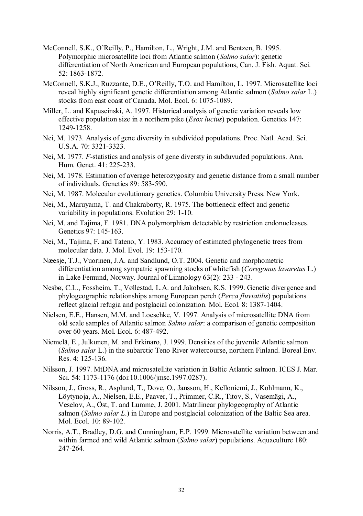- McConnell, S.K., O'Reilly, P., Hamilton, L., Wright, J.M. and Bentzen, B. 1995. Polymorphic microsatellite loci from Atlantic salmon (*Salmo salar*): genetic differentiation of North American and European populations, Can. J. Fish. Aquat. Sci. 52: 1863-1872.
- McConnell, S.K.J., Ruzzante, D.E., O'Reilly, T.O. and Hamilton, L. 1997. Microsatellite loci reveal highly significant genetic differentiation among Atlantic salmon (*Salmo salar* L.) stocks from east coast of Canada. Mol. Ecol. 6: 1075-1089.
- Miller, L. and Kapuscinski, A. 1997. Historical analysis of genetic variation reveals low effective population size in a northern pike (*Esox lucius*) population. Genetics 147: 1249-1258.
- Nei, M. 1973. Analysis of gene diversity in subdivided populations. Proc. Natl. Acad. Sci. U.S.A. 70: 3321-3323.
- Nei, M. 1977. *F*-statistics and analysis of gene diversty in subduvuded populations. Ann. Hum. Genet. 41: 225-233.
- Nei, M. 1978. Estimation of average heterozygosity and genetic distance from a small number of individuals. Genetics 89: 583-590.
- Nei, M. 1987. Molecular evolutionary genetics. Columbia University Press. New York.
- Nei, M., Maruyama, T. and Chakraborty, R. 1975. The bottleneck effect and genetic variability in populations. Evolution 29: 1-10.
- Nei, M. and Tajima, F. 1981. DNA polymorphism detectable by restriction endonucleases. Genetics 97: 145-163.
- Nei, M., Tajima, F. and Tateno, Y. 1983. Accuracy of estimated phylogenetic trees from molecular data. J. Mol. Evol. 19: 153-170.
- Næesje, T.J., Vuorinen, J.A. and Sandlund, O.T. 2004. Genetic and morphometric differentiation among sympatric spawning stocks of whitefish (*Coregonus lavaretus* L.) in Lake Femund, Norway. Journal of Limnology 63(2): 233 - 243.
- Nesbø, C.L., Fossheim, T., Vøllestad, L.A. and Jakobsen, K.S. 1999. Genetic divergence and phylogeographic relationships among European perch (*Perca fluviatilis*) populations reflect glacial refugia and postglacial colonization. Mol. Ecol. 8: 1387-1404.
- Nielsen, E.E., Hansen, M.M. and Loeschke, V. 1997. Analysis of microsatellite DNA from old scale samples of Atlantic salmon *Salmo salar*: a comparison of genetic composition over 60 years. Mol. Ecol. 6: 487-492.
- Niemelä, E., Julkunen, M. and Erkinaro, J. 1999. Densities of the juvenile Atlantic salmon (*Salmo salar* L.) in the subarctic Teno River watercourse, northern Finland. Boreal Env. Res. 4: 125-136.
- Nilsson, J. 1997. MtDNA and microsatellite variation in Baltic Atlantic salmon. ICES J. Mar. Sci. 54: 1173-1176 (doi:10.1006/jmsc.1997.0287).
- Nilsson, J., Gross, R., Asplund, T., Dove, O., Jansson, H., Kelloniemi, J., Kohlmann, K., Löytynoja, A., Nielsen, E.E., Paaver, T., Primmer, C.R., Titov, S., Vasemägi, A., Veselov, A., Öst, T. and Lumme, J. 2001. Matrilinear phylogeography of Atlantic salmon (*Salmo salar L*.) in Europe and postglacial colonization of the Baltic Sea area. Mol. Ecol. 10: 89-102.
- Norris, A.T., Bradley, D.G. and Cunningham, E.P. 1999. Microsatellite variation between and within farmed and wild Atlantic salmon (*Salmo salar*) populations. Aquaculture 180: 247-264.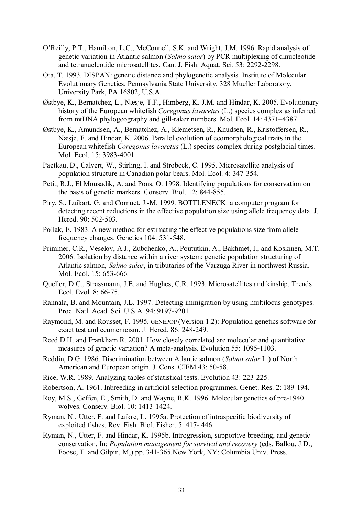- O'Reilly, P.T., Hamilton, L.C., McConnell, S.K. and Wright, J.M. 1996. Rapid analysis of genetic variation in Atlantic salmon (*Salmo salar*) by PCR multiplexing of dinucleotide and tetranucleotide microsatellites. Can. J. Fish. Aquat. Sci*.* 53: 2292-2298.
- Ota, T. 1993. DISPAN: genetic distance and phylogenetic analysis. Institute of Molecular Evolutionary Genetics, Pennsylvania State University, 328 Mueller Laboratory, University Park, PA 16802, U.S.A.
- Østbye, K., Bernatchez, L., Næsje, T.F., Himberg, K.-J.M. and Hindar, K. 2005. Evolutionary history of the European whitefish *Coregonus lavaretus* (L.) species complex as inferred from mtDNA phylogeography and gill-raker numbers. Mol. Ecol. 14: 4371–4387.
- Østbye, K., Amundsen, A., Bernatchez, A., Klemetsen, R., Knudsen, R., Kristoffersen, R., Næsje, F. and Hindar, K. 2006. Parallel evolution of ecomorphological traits in the European whitefish *Coregonus lavaretus* (L.) species complex during postglacial times. Mol. Ecol. 15: 3983-4001.
- Paetkau, D., Calvert, W., Stirling, I. and Strobeck, C. 1995. Microsatellite analysis of population structure in Canadian polar bears. Mol. Ecol. 4: 347-354.
- Petit, R.J., El Mousadik, A. and Pons, O. 1998. Identifying populations for conservation on the basis of genetic markers. Conserv. Biol. 12: 844-855.
- Piry, S., Luikart, G. and Cornuet, J.-M. 1999. BOTTLENECK: a computer program for detecting recent reductions in the effective population size using allele frequency data. J. Hered. 90: 502-503.
- Pollak, E. 1983. A new method for estimating the effective populations size from allele frequency changes. Genetics 104: 531-548.
- Primmer, C.R., Veselov, A.J., Zubchenko, A., Poututkin, A., Bakhmet, I., and Koskinen, M.T. 2006. Isolation by distance within a river system: genetic population structuring of Atlantic salmon, *Salmo salar*, in tributaries of the Varzuga River in northwest Russia. Mol. Ecol. 15: 653-666.
- Queller, D.C., Strassmann, J.E. and Hughes, C.R. 1993. Microsatellites and kinship. Trends Ecol. Evol. 8: 66-75.
- Rannala, B. and Mountain, J.L. 1997. Detecting immigration by using multilocus genotypes. Proc. Natl. Acad. Sci. U.S.A. 94: 9197-9201.
- Raymond, M. and Rousset, F. 1995. GENEPOP (Version 1.2): Population genetics software for exact test and ecumenicism. J. Hered*.* 86: 248-249.
- Reed D.H. and Frankham R. 2001. How closely correlated are molecular and quantitative measures of genetic variation? A meta-analysis. Evolution 55: 1095-1103.
- Reddin, D.G. 1986. Discrimination between Atlantic salmon (*Salmo salar* L.) of North American and European origin. J. Cons. CIEM 43: 50-58.
- Rice, W.R. 1989. Analyzing tables of statistical tests. Evolution 43: 223-225.
- Robertson, A. 1961. Inbreeding in artificial selection programmes. Genet. Res. 2: 189-194.
- Roy, M.S., Geffen, E., Smith, D. and Wayne, R.K. 1996. Molecular genetics of pre-1940 wolves. Conserv. Biol. 10: 1413-1424.
- Ryman, N., Utter, F. and Laikre, L. 1995a. Protection of intraspecific biodiversity of exploited fishes. Rev. Fish. Biol. Fisher. 5: 417- 446.
- Ryman, N., Utter, F. and Hindar, K. 1995b. Introgression, supportive breeding, and genetic conservation. In: *Population management for survival and recovery* (eds. Ballou, J.D., Foose, T. and Gilpin, M,) pp. 341-365.New York, NY: Columbia Univ. Press.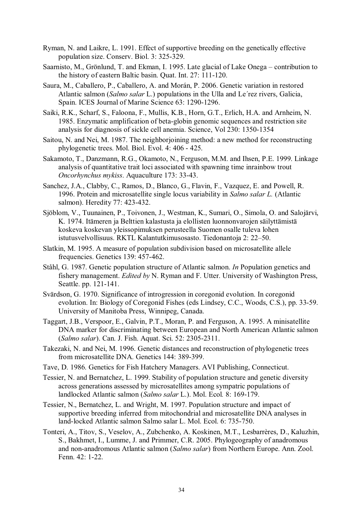- Ryman, N. and Laikre, L. 1991. Effect of supportive breeding on the genetically effective population size. Conserv. Biol. 3: 325-329.
- Saarnisto, M., Grönlund, T. and Ekman, I. 1995. Late glacial of Lake Onega contribution to the history of eastern Baltic basin. Quat. Int. 27: 111-120.
- Saura, M., Caballero, P., Caballero, A. and Morán, P. 2006. Genetic variation in restored Atlantic salmon (*Salmo salar* L.) populations in the Ulla and Le´rez rivers, Galicia, Spain. ICES Journal of Marine Science 63: 1290-1296.
- Saiki, R.K., Scharf, S., Faloona, F., Mullis, K.B., Horn, G.T., Erlich, H.A. and Arnheim, N. 1985. Enzymatic amplification of beta-globin genomic sequences and restriction site analysis for diagnosis of sickle cell anemia. Science, Vol 230: 1350-1354
- Saitou, N. and Nei, M. 1987. The neighborjoining method: a new method for reconstructing phylogenetic trees. Mol. Biol. Evol. 4: 406 - 425.
- Sakamoto, T., Danzmann, R.G., Okamoto, N., Ferguson, M.M. and Ihsen, P.E. 1999. Linkage analysis of quantitative trait loci associated with spawning time inrainbow trout *Oncorhynchus mykiss*. Aquaculture 173: 33-43.
- Sanchez, J.A., Clabby, C., Ramos, D., Blanco, G., Flavin, F., Vazquez, E. and Powell, R. 1996. Protein and microsatellite single locus variability in *Salmo salar L.* (Atlantic salmon). Heredity 77: 423-432.
- Sjöblom, V., Tuunainen, P., Toivonen, J., Westman, K., Sumari, O., Simola, O. and Salojärvi, K. 1974. Itämeren ja Belttien kalastusta ja elollisten luonnonvarojen säilyttämistä koskeva koskevan yleissopimuksen perusteella Suomen osalle tuleva lohen istutusvelvollisuus. RKTL Kalantutkimusosasto. Tiedonantoja 2: 22–50.
- Slatkin, M. 1995. A measure of population subdivision based on microsatellite allele frequencies. Genetics 139: 457-462.
- Ståhl, G. 1987. Genetic population structure of Atlantic salmon. *In* Population genetics and fishery management. *Edited by* N. Ryman and F. Utter. University of Washington Press, Seattle. pp. 121-141.
- Svärdson, G. 1970. Significance of introgression in coregonid evolution. In coregonid evolution. In: Biology of Coregonid Fishes (eds Lindsey, C.C., Woods, C.S.), pp. 33-59. University of Manitoba Press, Winnipeg, Canada.
- Taggart, J.B., Verspoor, E., Galvin, P.T., Moran, P. and Ferguson, A. 1995. A minisatellite DNA marker for discriminating between European and North American Atlantic salmon (*Salmo salar*). Can. J. Fish. Aquat. Sci. 52: 2305-2311.
- Takezaki, N. and Nei, M. 1996. Genetic distances and reconstruction of phylogenetic trees from microsatellite DNA. Genetics 144: 389-399.
- Tave, D. 1986. Genetics for Fish Hatchery Managers. AVI Publishing, Connecticut.
- Tessier, N. and Bernatchez, L. 1999. Stability of population structure and genetic diversity across generations assessed by microsatellites among sympatric populations of landlocked Atlantic salmon (*Salmo salar* L.). Mol. Ecol*.* 8: 169-179.
- Tessier, N., Bernatchez, L. and Wright, M. 1997. Population structure and impact of supportive breeding inferred from mitochondrial and microsatellite DNA analyses in land-locked Atlantic salmon Salmo salar L. Mol. Ecol. 6: 735-750.
- Tonteri, A., Titov, S., Veselov, A., Zubchenko, A. Koskinen, M.T., Lesbarrères, D., Kaluzhin, S., Bakhmet, I., Lumme, J. and Primmer, C.R. 2005. Phylogeography of anadromous and non-anadromous Atlantic salmon (*Salmo salar*) from Northern Europe. Ann. Zool. Fenn. 42: 1-22.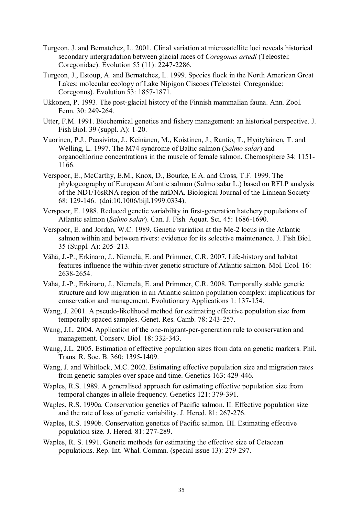- Turgeon, J. and Bernatchez, L. 2001. Clinal variation at microsatellite loci reveals historical secondary intergradation between glacial races of *Coregonus artedi* (Teleostei: Coregonidae). Evolution 55 (11): 2247-2286.
- Turgeon, J., Estoup, A. and Bernatchez, L. 1999. Species flock in the North American Great Lakes: molecular ecology of Lake Nipigon Ciscoes (Teleostei: Coregonidae: Coregonus). Evolution 53: 1857-1871.
- Ukkonen, P. 1993. The post-glacial history of the Finnish mammalian fauna. Ann. Zool. Fenn. 30: 249-264.
- Utter, F.M. 1991. Biochemical genetics and fishery management: an historical perspective. J. Fish Biol. 39 (suppl. A): 1-20.
- Vuorinen, P.J., Paasivirta, J., Keinänen, M., Koistinen, J., Rantio, T., Hyötyläinen, T. and Welling, L. 1997. The M74 syndrome of Baltic salmon (*Salmo salar*) and organochlorine concentrations in the muscle of female salmon. Chemosphere 34: 1151- 1166.
- Verspoor, E., McCarthy, E.M., Knox, D., Bourke, E.A. and Cross, T.F. 1999. The phylogeography of European Atlantic salmon (Salmo salar L.) based on RFLP analysis of the ND1/16sRNA region of the mtDNA. Biological Journal of the Linnean Society 68: 129-146. (doi:10.1006/bijl.1999.0334).
- Verspoor, E. 1988. Reduced genetic variability in first-generation hatchery populations of Atlantic salmon (*Salmo salar*). Can. J. Fish. Aquat. Sci. 45: 1686-1690.
- Verspoor, E. and Jordan, W.C. 1989. Genetic variation at the Me-2 locus in the Atlantic salmon within and between rivers: evidence for its selective maintenance. J. Fish Biol. 35 (Suppl. A): 205–213.
- Vähä, J.-P., Erkinaro, J., Niemelä, E. and Primmer, C.R. 2007. Life-history and habitat features influence the within-river genetic structure of Atlantic salmon. Mol. Ecol. 16: 2638-2654.
- Vähä, J.-P., Erkinaro, J., Niemelä, E. and Primmer, C.R. 2008. Temporally stable genetic structure and low migration in an Atlantic salmon population complex: implications for conservation and management. Evolutionary Applications 1: 137-154.
- Wang, J. 2001. A pseudo-likelihood method for estimating effective population size from temporally spaced samples. Genet. Res. Camb. 78: 243-257.
- Wang, J.L. 2004. Application of the one-migrant-per-generation rule to conservation and management. Conserv. Biol. 18: 332-343.
- Wang, J.L. 2005. Estimation of effective population sizes from data on genetic markers. Phil. Trans. R. Soc. B. 360: 1395-1409.
- Wang, J. and Whitlock, M.C. 2002. Estimating effective population size and migration rates from genetic samples over space and time. Genetics 163: 429-446.
- Waples, R.S. 1989. A generalised approach for estimating effective population size from temporal changes in allele frequency. Genetics 121: 379-391.
- Waples, R.S. 1990a. Conservation genetics of Pacific salmon. II. Effective population size and the rate of loss of genetic variability. J. Hered. 81: 267-276.
- Waples, R.S. 1990b. Conservation genetics of Pacific salmon. III. Estimating effective population size. J. Hered*.* 81: 277-289.
- Waples, R. S. 1991. Genetic methods for estimating the effective size of Cetacean populations. Rep. Int. Whal. Commn. (special issue 13): 279-297.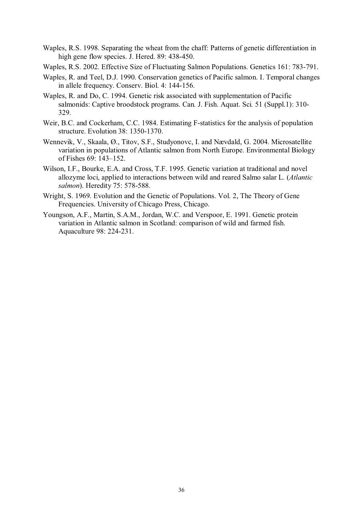- Waples, R.S. 1998. Separating the wheat from the chaff: Patterns of genetic differentiation in high gene flow species. J. Hered. 89: 438-450.
- Waples, R.S. 2002. Effective Size of Fluctuating Salmon Populations. Genetics 161: 783-791.
- Waples, R. and Teel, D.J. 1990. Conservation genetics of Pacific salmon. I. Temporal changes in allele frequency. Conserv. Biol. 4: 144-156.
- Waples, R. and Do, C. 1994. Genetic risk associated with supplementation of Pacific salmonids: Captive broodstock programs. Can. J. Fish. Aquat. Sci*.* 51 (Suppl.1): 310- 329.
- Weir, B.C. and Cockerham, C.C. 1984. Estimating F-statistics for the analysis of population structure. Evolution 38: 1350-1370.
- Wennevik, V., Skaala, Ø., Titov, S.F., Studyonovc, I. and Nævdald, G. 2004. Microsatellite variation in populations of Atlantic salmon from North Europe. Environmental Biology of Fishes 69: 143–152.
- Wilson, I.F., Bourke, E.A. and Cross, T.F. 1995. Genetic variation at traditional and novel allozyme loci, applied to interactions between wild and reared Salmo salar L. (*Atlantic salmon*). Heredity 75: 578-588.
- Wright, S. 1969. Evolution and the Genetic of Populations. Vol. 2, The Theory of Gene Frequencies. University of Chicago Press, Chicago.
- Youngson, A.F., Martin, S.A.M., Jordan, W.C. and Verspoor, E. 1991. Genetic protein variation in Atlantic salmon in Scotland: comparison of wild and farmed fish. Aquaculture 98: 224-231.